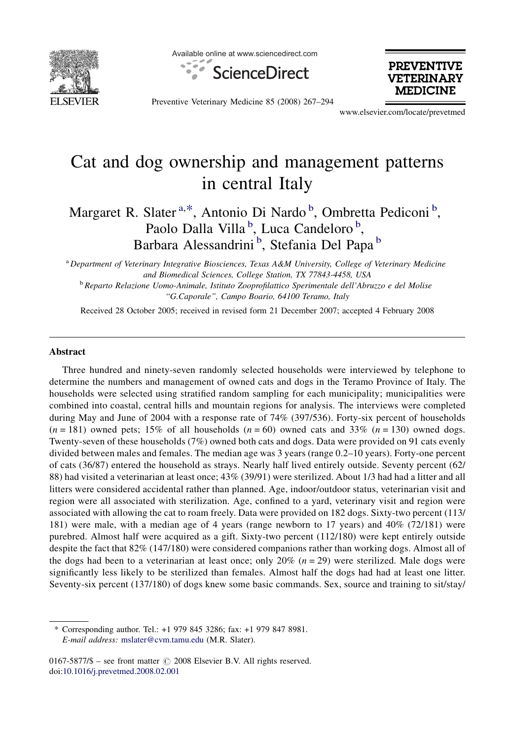

Available online at www.sciencedirect.com



**PREVENTIVE VETEPINAPY MEDICINE** 

Preventive Veterinary Medicine 85 (2008) 267–294

www.elsevier.com/locate/prevetmed

# Cat and dog ownership and management patterns in central Italy

Margaret R. Slater<sup>a,\*</sup>, Antonio Di Nardo<sup>b</sup>, Ombretta Pediconi<sup>b</sup>, Paolo Dalla Villa<sup>b</sup>, Luca Candeloro<sup>b</sup>, Barbara Alessandrini <sup>b</sup>, Stefania Del Papa <sup>b</sup>

<sup>a</sup> Department of Veterinary Integrative Biosciences, Texas A&M University, College of Veterinary Medicine and Biomedical Sciences, College Station, TX 77843-4458, USA

<sup>b</sup> Reparto Relazione Uomo-Animale, Istituto Zooprofilattico Sperimentale dell'Abruzzo e del Molise ''G.Caporale'', Campo Boario, 64100 Teramo, Italy

Received 28 October 2005; received in revised form 21 December 2007; accepted 4 February 2008

#### Abstract

Three hundred and ninety-seven randomly selected households were interviewed by telephone to determine the numbers and management of owned cats and dogs in the Teramo Province of Italy. The households were selected using stratified random sampling for each municipality; municipalities were combined into coastal, central hills and mountain regions for analysis. The interviews were completed during May and June of 2004 with a response rate of 74% (397/536). Forty-six percent of households  $(n = 181)$  owned pets; 15% of all households  $(n = 60)$  owned cats and 33%  $(n = 130)$  owned dogs. Twenty-seven of these households (7%) owned both cats and dogs. Data were provided on 91 cats evenly divided between males and females. The median age was 3 years (range 0.2–10 years). Forty-one percent of cats (36/87) entered the household as strays. Nearly half lived entirely outside. Seventy percent (62/ 88) had visited a veterinarian at least once; 43% (39/91) were sterilized. About 1/3 had had a litter and all litters were considered accidental rather than planned. Age, indoor/outdoor status, veterinarian visit and region were all associated with sterilization. Age, confined to a yard, veterinary visit and region were associated with allowing the cat to roam freely. Data were provided on 182 dogs. Sixty-two percent (113/ 181) were male, with a median age of 4 years (range newborn to 17 years) and 40% (72/181) were purebred. Almost half were acquired as a gift. Sixty-two percent (112/180) were kept entirely outside despite the fact that 82% (147/180) were considered companions rather than working dogs. Almost all of the dogs had been to a veterinarian at least once; only 20%  $(n = 29)$  were sterilized. Male dogs were significantly less likely to be sterilized than females. Almost half the dogs had had at least one litter. Seventy-six percent (137/180) of dogs knew some basic commands. Sex, source and training to sit/stay/

\* Corresponding author. Tel.: +1 979 845 3286; fax: +1 979 847 8981. E-mail address: [mslater@cvm.tamu.edu](mailto:mslater@cvm.tamu.edu) (M.R. Slater).

<sup>0167-5877/\$ –</sup> see front matter  $\odot$  2008 Elsevier B.V. All rights reserved. doi:[10.1016/j.prevetmed.2008.02.001](http://dx.doi.org/10.1016/j.prevetmed.2008.02.001)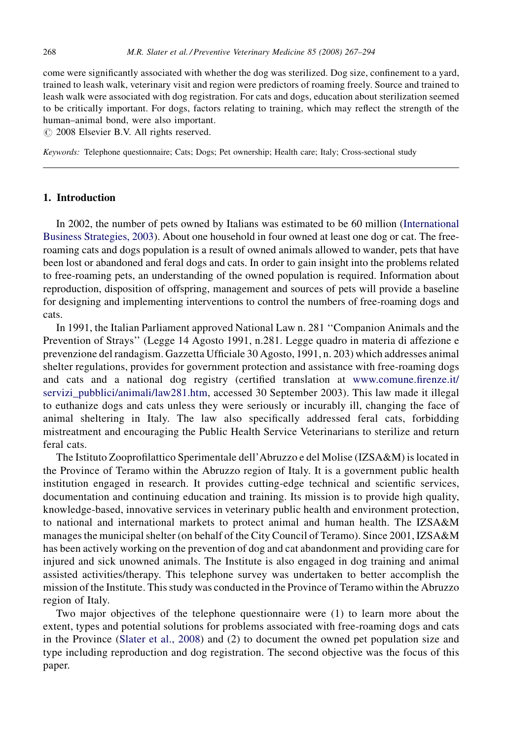come were significantly associated with whether the dog was sterilized. Dog size, confinement to a yard, trained to leash walk, veterinary visit and region were predictors of roaming freely. Source and trained to leash walk were associated with dog registration. For cats and dogs, education about sterilization seemed to be critically important. For dogs, factors relating to training, which may reflect the strength of the human–animal bond, were also important.

 $\odot$  2008 Elsevier B.V. All rights reserved.

Keywords: Telephone questionnaire; Cats; Dogs; Pet ownership; Health care; Italy; Cross-sectional study

## 1. Introduction

In 2002, the number of pets owned by Italians was estimated to be 60 million ([International](#page-27-0) [Business Strategies, 2003\)](#page-27-0). About one household in four owned at least one dog or cat. The freeroaming cats and dogs population is a result of owned animals allowed to wander, pets that have been lost or abandoned and feral dogs and cats. In order to gain insight into the problems related to free-roaming pets, an understanding of the owned population is required. Information about reproduction, disposition of offspring, management and sources of pets will provide a baseline for designing and implementing interventions to control the numbers of free-roaming dogs and cats.

In 1991, the Italian Parliament approved National Law n. 281 ''Companion Animals and the Prevention of Strays'' (Legge 14 Agosto 1991, n.281. Legge quadro in materia di affezione e prevenzione del randagism. Gazzetta Ufficiale 30 Agosto, 1991, n. 203) which addresses animal shelter regulations, provides for government protection and assistance with free-roaming dogs and cats and a national dog registry (certified translation at [www.comune.firenze.it/](http://www.comune.firenze.it/servizi_pubblici/animali/law281.htm) servizi pubblici/animali/law281.htm, accessed 30 September 2003). This law made it illegal to euthanize dogs and cats unless they were seriously or incurably ill, changing the face of animal sheltering in Italy. The law also specifically addressed feral cats, forbidding mistreatment and encouraging the Public Health Service Veterinarians to sterilize and return feral cats.

The Istituto Zooprofilattico Sperimentale dell'Abruzzo e del Molise (IZSA&M) is located in the Province of Teramo within the Abruzzo region of Italy. It is a government public health institution engaged in research. It provides cutting-edge technical and scientific services, documentation and continuing education and training. Its mission is to provide high quality, knowledge-based, innovative services in veterinary public health and environment protection, to national and international markets to protect animal and human health. The IZSA&M manages the municipal shelter (on behalf of the City Council of Teramo). Since 2001, IZSA&M has been actively working on the prevention of dog and cat abandonment and providing care for injured and sick unowned animals. The Institute is also engaged in dog training and animal assisted activities/therapy. This telephone survey was undertaken to better accomplish the mission of the Institute. This study was conducted in the Province of Teramo within the Abruzzo region of Italy.

Two major objectives of the telephone questionnaire were (1) to learn more about the extent, types and potential solutions for problems associated with free-roaming dogs and cats in the Province ([Slater et al., 2008](#page-27-0)) and (2) to document the owned pet population size and type including reproduction and dog registration. The second objective was the focus of this paper.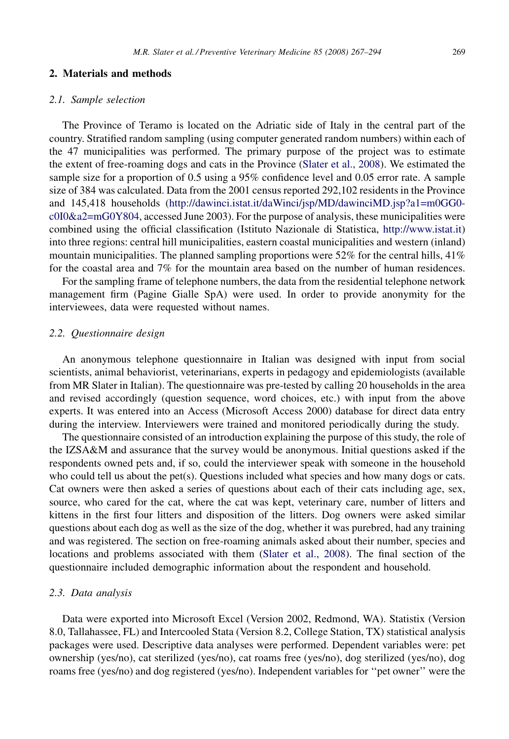#### 2. Materials and methods

#### 2.1. Sample selection

The Province of Teramo is located on the Adriatic side of Italy in the central part of the country. Stratified random sampling (using computer generated random numbers) within each of the 47 municipalities was performed. The primary purpose of the project was to estimate the extent of free-roaming dogs and cats in the Province [\(Slater et al., 2008\)](#page-27-0). We estimated the sample size for a proportion of 0.5 using a 95% confidence level and 0.05 error rate. A sample size of 384 was calculated. Data from the 2001 census reported 292,102 residents in the Province and 145,418 households ([http://dawinci.istat.it/daWinci/jsp/MD/dawinciMD.jsp?a1=m0GG0](http://dawinci.istat.it/daWinci/jsp/MD/dawinciMD.jsp%3Fa1=m0GG0c0I0%26a2=mG0Y804)  $c0I0&a2=mg0Y804$ , accessed June 2003). For the purpose of analysis, these municipalities were combined using the official classification (Istituto Nazionale di Statistica, [http://www.istat.it\)](http://www.istat.it/) into three regions: central hill municipalities, eastern coastal municipalities and western (inland) mountain municipalities. The planned sampling proportions were  $52\%$  for the central hills,  $41\%$ for the coastal area and 7% for the mountain area based on the number of human residences.

For the sampling frame of telephone numbers, the data from the residential telephone network management firm (Pagine Gialle SpA) were used. In order to provide anonymity for the interviewees, data were requested without names.

## 2.2. Questionnaire design

An anonymous telephone questionnaire in Italian was designed with input from social scientists, animal behaviorist, veterinarians, experts in pedagogy and epidemiologists (available from MR Slater in Italian). The questionnaire was pre-tested by calling 20 households in the area and revised accordingly (question sequence, word choices, etc.) with input from the above experts. It was entered into an Access (Microsoft Access 2000) database for direct data entry during the interview. Interviewers were trained and monitored periodically during the study.

The questionnaire consisted of an introduction explaining the purpose of this study, the role of the IZSA&M and assurance that the survey would be anonymous. Initial questions asked if the respondents owned pets and, if so, could the interviewer speak with someone in the household who could tell us about the pet(s). Questions included what species and how many dogs or cats. Cat owners were then asked a series of questions about each of their cats including age, sex, source, who cared for the cat, where the cat was kept, veterinary care, number of litters and kittens in the first four litters and disposition of the litters. Dog owners were asked similar questions about each dog as well as the size of the dog, whether it was purebred, had any training and was registered. The section on free-roaming animals asked about their number, species and locations and problems associated with them ([Slater et al., 2008\)](#page-27-0). The final section of the questionnaire included demographic information about the respondent and household.

#### 2.3. Data analysis

Data were exported into Microsoft Excel (Version 2002, Redmond, WA). Statistix (Version 8.0, Tallahassee, FL) and Intercooled Stata (Version 8.2, College Station, TX) statistical analysis packages were used. Descriptive data analyses were performed. Dependent variables were: pet ownership (yes/no), cat sterilized (yes/no), cat roams free (yes/no), dog sterilized (yes/no), dog roams free (yes/no) and dog registered (yes/no). Independent variables for ''pet owner'' were the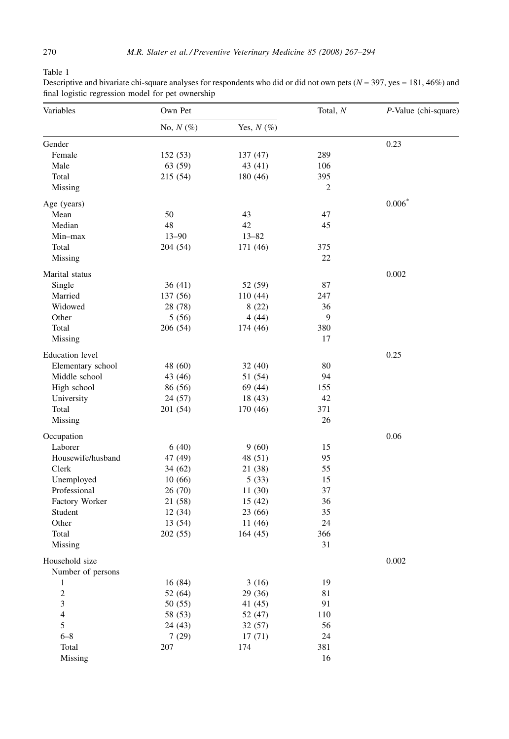<span id="page-3-0"></span>Table 1

| Variables              | Own Pet     |              | Total, N       | $P$ -Value (chi-square) |
|------------------------|-------------|--------------|----------------|-------------------------|
|                        | No, $N(\%)$ | Yes, $N(\%)$ |                |                         |
| Gender                 |             |              |                | 0.23                    |
| Female                 | 152 (53)    | 137 (47)     | 289            |                         |
| Male                   | 63 (59)     | 43 (41)      | 106            |                         |
| Total                  | 215 (54)    | 180 (46)     | 395            |                         |
| Missing                |             |              | $\mathfrak{2}$ |                         |
| Age (years)            |             |              |                | $0.006*$                |
| Mean                   | 50          | 43           | 47             |                         |
| Median                 | 48          | 42           | 45             |                         |
| Min-max                | $13 - 90$   | $13 - 82$    |                |                         |
| Total                  | 204 (54)    | 171 (46)     | 375            |                         |
| Missing                |             |              | 22             |                         |
| Marital status         |             |              |                | 0.002                   |
| Single                 | 36(41)      | 52 (59)      | 87             |                         |
| Married                | 137 (56)    | 110(44)      | 247            |                         |
| Widowed                | 28 (78)     | 8(22)        | 36             |                         |
| Other                  | 5(56)       | 4(44)        | 9              |                         |
| Total                  | 206 (54)    | 174 (46)     | 380            |                         |
| Missing                |             |              | 17             |                         |
| <b>Education</b> level |             |              |                | 0.25                    |
| Elementary school      | 48 (60)     | 32(40)       | 80             |                         |
| Middle school          | 43 (46)     | 51 (54)      | 94             |                         |
| High school            | 86 (56)     | 69 (44)      | 155            |                         |
| University             | 24 (57)     | 18 (43)      | 42             |                         |
| Total                  | 201 (54)    | 170 (46)     | 371            |                         |
| Missing                |             |              | 26             |                         |
| Occupation             |             |              |                | 0.06                    |
| Laborer                | 6(40)       | 9(60)        | 15             |                         |
| Housewife/husband      | 47 (49)     | 48 (51)      | 95             |                         |
| Clerk                  | 34 (62)     | 21 (38)      | 55             |                         |
| Unemployed             | 10(66)      | 5(33)        | 15             |                         |
| Professional           | 26(70)      | 11 (30)      | 37             |                         |
| Factory Worker         | 21 (58)     | 15 (42)      | 36             |                         |
| Student                | 12 (34)     | 23 (66)      | 35             |                         |
| Other                  | 13 (54)     | 11 (46)      | 24             |                         |
| Total                  | 202(55)     | 164(45)      | 366            |                         |
| Missing                |             |              | 31             |                         |
| Household size         |             |              |                | 0.002                   |
| Number of persons      |             |              |                |                         |
| $\mathbf{1}$           | 16 (84)     | 3(16)        | 19             |                         |
| $\overline{c}$         | 52 (64)     | 29 (36)      | 81             |                         |
| 3                      | 50 (55)     | 41 (45)      | 91             |                         |
| 4                      | 58 (53)     | 52 (47)      | 110            |                         |
| 5                      | 24 (43)     | 32(57)       | 56             |                         |
| $6 - 8$                | 7(29)       | 17(71)       | 24             |                         |
| Total                  | 207         | 174          | 381            |                         |
| Missing                |             |              | 16             |                         |

Descriptive and bivariate chi-square analyses for respondents who did or did not own pets ( $N = 397$ , yes = 181, 46%) and final logistic regression model for pet ownership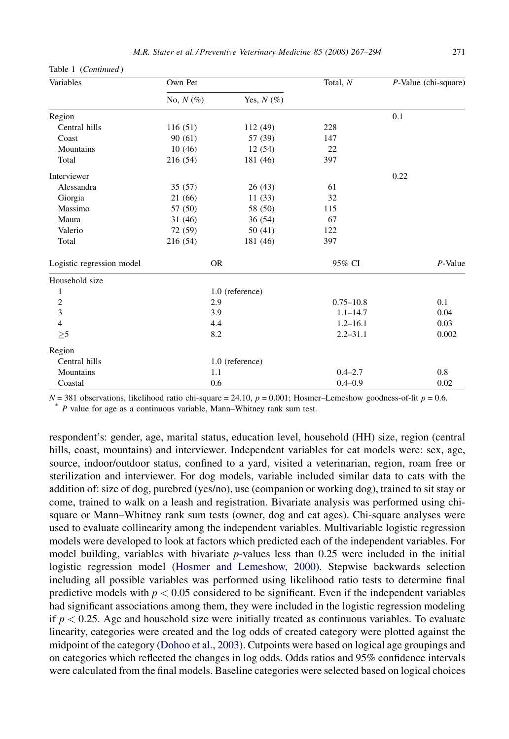| Variables                 | Own Pet     |                 | Total, $N$    | P-Value (chi-square) |            |
|---------------------------|-------------|-----------------|---------------|----------------------|------------|
|                           | No, $N(\%)$ | Yes, $N(\%)$    |               |                      |            |
| Region                    |             |                 |               | 0.1                  |            |
| Central hills             | 116(51)     | 112 (49)        | 228           |                      |            |
| Coast                     | 90(61)      | 57 (39)         | 147           |                      |            |
| Mountains                 | 10(46)      | 12(54)          | 22            |                      |            |
| Total                     | 216 (54)    | 181 (46)        | 397           |                      |            |
| Interviewer               |             |                 |               | 0.22                 |            |
| Alessandra                | 35(57)      | 26(43)          | 61            |                      |            |
| Giorgia                   | 21 (66)     | 11(33)          | 32            |                      |            |
| Massimo                   | 57 (50)     | 58 (50)         | 115           |                      |            |
| Maura                     | 31(46)      | 36 (54)         | 67            |                      |            |
| Valerio                   | 72 (59)     | 50(41)          | 122           |                      |            |
| Total                     | 216 (54)    | 181 (46)        | 397           |                      |            |
| Logistic regression model | <b>OR</b>   |                 | 95% CI        |                      | $P$ -Value |
| Household size            |             |                 |               |                      |            |
| 1                         |             | 1.0 (reference) |               |                      |            |
| $\mathbf{2}$              | 2.9         |                 | $0.75 - 10.8$ |                      | 0.1        |
| 3                         | 3.9         |                 | $1.1 - 14.7$  |                      | 0.04       |
| $\overline{4}$            | 4.4         |                 | $1.2 - 16.1$  |                      | 0.03       |
| $\geq 5$                  | 8.2         |                 | $2.2 - 31.1$  |                      | 0.002      |
| Region                    |             |                 |               |                      |            |
| Central hills             |             | 1.0 (reference) |               |                      |            |
| Mountains                 | 1.1         |                 | $0.4 - 2.7$   |                      | 0.8        |
| Coastal                   | 0.6         |                 | $0.4 - 0.9$   |                      | 0.02       |

<span id="page-4-0"></span>Table 1 (Continued)

 $N = 381$  observations, likelihood ratio chi-square = 24.10,  $p = 0.001$ ; Hosmer–Lemeshow goodness-of-fit  $p = 0.6$ .<br><sup>\*</sup> P value for age as a continuous variable, Mann–Whitney rank sum test.

respondent's: gender, age, marital status, education level, household (HH) size, region (central hills, coast, mountains) and interviewer. Independent variables for cat models were: sex, age, source, indoor/outdoor status, confined to a yard, visited a veterinarian, region, roam free or sterilization and interviewer. For dog models, variable included similar data to cats with the addition of: size of dog, purebred (yes/no), use (companion or working dog), trained to sit stay or come, trained to walk on a leash and registration. Bivariate analysis was performed using chisquare or Mann–Whitney rank sum tests (owner, dog and cat ages). Chi-square analyses were used to evaluate collinearity among the independent variables. Multivariable logistic regression models were developed to look at factors which predicted each of the independent variables. For model building, variables with bivariate p-values less than 0.25 were included in the initial logistic regression model ([Hosmer and Lemeshow, 2000](#page-27-0)). Stepwise backwards selection including all possible variables was performed using likelihood ratio tests to determine final predictive models with  $p < 0.05$  considered to be significant. Even if the independent variables had significant associations among them, they were included in the logistic regression modeling if  $p < 0.25$ . Age and household size were initially treated as continuous variables. To evaluate linearity, categories were created and the log odds of created category were plotted against the midpoint of the category ([Dohoo et al., 2003](#page-27-0)). Cutpoints were based on logical age groupings and on categories which reflected the changes in log odds. Odds ratios and 95% confidence intervals were calculated from the final models. Baseline categories were selected based on logical choices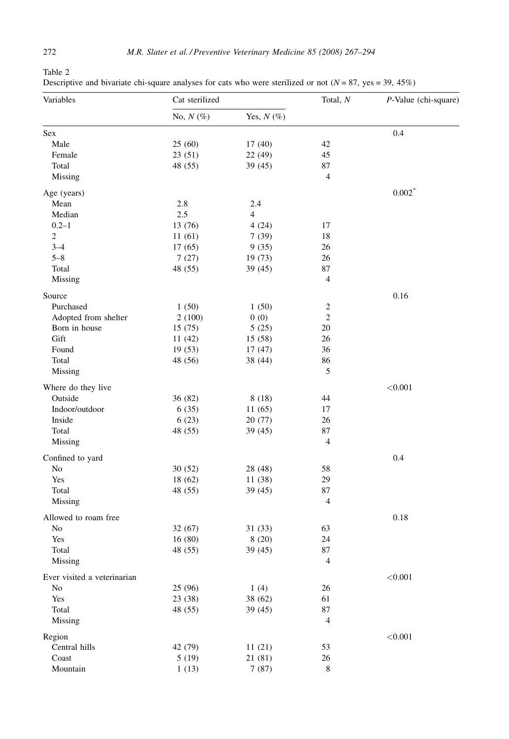<span id="page-5-0"></span>

| Table 2                                                                                                              |  |  |
|----------------------------------------------------------------------------------------------------------------------|--|--|
| Descriptive and bivariate chi-square analyses for cats who were sterilized or not $(N = 87, \text{ yes} = 39, 45\%)$ |  |  |

| Variables                   | Cat sterilized |              | Total, N       | P-Value (chi-square) |
|-----------------------------|----------------|--------------|----------------|----------------------|
|                             | No, $N$ $(\%)$ | Yes, $N(\%)$ |                |                      |
| Sex                         |                |              |                | 0.4                  |
| Male                        | 25(60)         | 17(40)       | 42             |                      |
| Female                      | 23(51)         | 22 (49)      | 45             |                      |
| Total                       | 48 (55)        | 39 (45)      | 87             |                      |
| Missing                     |                |              | 4              |                      |
| Age (years)                 |                |              |                | $0.002*$             |
| Mean                        | 2.8            | 2.4          |                |                      |
| Median                      | 2.5            | 4            |                |                      |
| $0.2 - 1$                   | 13 (76)        | 4 (24)       | 17             |                      |
| 2                           | 11 (61)        | 7(39)        | 18             |                      |
| $3 - 4$                     | 17(65)         | 9(35)        | 26             |                      |
| $5 - 8$                     | 7(27)          | 19(73)       | 26             |                      |
| Total                       | 48 (55)        | 39 (45)      | 87             |                      |
| Missing                     |                |              | 4              |                      |
| Source                      |                |              |                | 0.16                 |
| Purchased                   | 1(50)          | 1(50)        | $\overline{c}$ |                      |
| Adopted from shelter        | 2(100)         | 0(0)         | 2              |                      |
| Born in house               | 15 (75)        | 5(25)        | 20             |                      |
| Gift                        | 11 (42)        | 15 (58)      | 26             |                      |
| Found                       | 19(53)         | 17(47)       | 36             |                      |
| Total                       | 48 (56)        | 38 (44)      | 86             |                      |
| Missing                     |                |              | 5              |                      |
| Where do they live          |                |              |                | < 0.001              |
| Outside                     | 36 (82)        | 8(18)        | 44             |                      |
| Indoor/outdoor              |                |              |                |                      |
|                             | 6(35)          | 11(65)       | 17             |                      |
| Inside                      | 6(23)          | 20 (77)      | 26             |                      |
| Total                       | 48 (55)        | 39 (45)      | 87<br>4        |                      |
| Missing                     |                |              |                |                      |
| Confined to yard            |                |              |                | 0.4                  |
| No                          | 30 (52)        | 28 (48)      | 58             |                      |
| Yes                         | 18 (62)        | 11 (38)      | 29             |                      |
| Total                       | 48 (55)        | 39 (45)      | 87             |                      |
| Missing                     |                |              | 4              |                      |
| Allowed to roam free        |                |              |                | 0.18                 |
| No                          | 32 (67)        | 31 (33)      | 63             |                      |
| Yes                         | 16(80)         | 8(20)        | 24             |                      |
| Total                       | 48 (55)        | 39 (45)      | 87             |                      |
| Missing                     |                |              | 4              |                      |
| Ever visited a veterinarian |                |              |                | < 0.001              |
| No                          | 25 (96)        | 1(4)         | 26             |                      |
| Yes                         | 23 (38)        | 38 (62)      | 61             |                      |
| Total                       | 48 (55)        | 39 (45)      | 87             |                      |
| Missing                     |                |              | $\overline{4}$ |                      |
| Region                      |                |              |                | < 0.001              |
| Central hills               | 42 (79)        | 11(21)       | 53             |                      |
| Coast                       | 5(19)          | 21 (81)      | 26             |                      |
| Mountain                    | 1(13)          | 7(87)        | $\,$ 8 $\,$    |                      |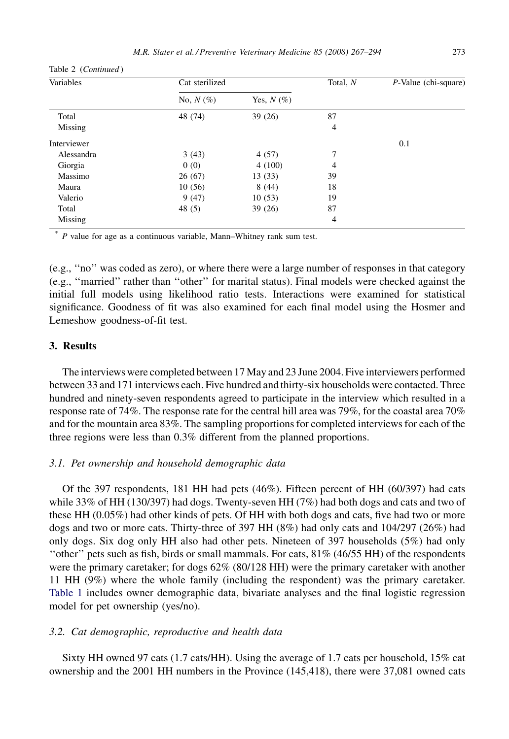| Variables   | Cat sterilized |              | Total, N | $P$ -Value (chi-square) |
|-------------|----------------|--------------|----------|-------------------------|
|             | No, $N(\%)$    | Yes, $N(\%)$ |          |                         |
| Total       | 48 (74)        | 39(26)       | 87       |                         |
| Missing     |                |              | 4        |                         |
| Interviewer |                |              |          | 0.1                     |
| Alessandra  | 3(43)          | 4(57)        | 7        |                         |
| Giorgia     | 0(0)           | 4(100)       | 4        |                         |
| Massimo     | 26(67)         | 13(33)       | 39       |                         |
| Maura       | 10(56)         | 8(44)        | 18       |                         |
| Valerio     | 9(47)          | 10(53)       | 19       |                         |
| Total       | 48 (5)         | 39(26)       | 87       |                         |
| Missing     |                |              | 4        |                         |

<span id="page-6-0"></span>Table 2 (Continued )

\* P value for age as a continuous variable, Mann–Whitney rank sum test.

(e.g., ''no'' was coded as zero), or where there were a large number of responses in that category (e.g., ''married'' rather than ''other'' for marital status). Final models were checked against the initial full models using likelihood ratio tests. Interactions were examined for statistical significance. Goodness of fit was also examined for each final model using the Hosmer and Lemeshow goodness-of-fit test.

## 3. Results

The interviews were completed between 17 May and 23 June 2004. Five interviewers performed between 33 and 171 interviews each. Five hundred and thirty-six households were contacted. Three hundred and ninety-seven respondents agreed to participate in the interview which resulted in a response rate of 74%. The response rate for the central hill area was 79%, for the coastal area 70% and for the mountain area 83%. The sampling proportions for completed interviews for each of the three regions were less than 0.3% different from the planned proportions.

#### 3.1. Pet ownership and household demographic data

Of the 397 respondents, 181 HH had pets (46%). Fifteen percent of HH (60/397) had cats while 33% of HH (130/397) had dogs. Twenty-seven HH (7%) had both dogs and cats and two of these HH (0.05%) had other kinds of pets. Of HH with both dogs and cats, five had two or more dogs and two or more cats. Thirty-three of 397 HH (8%) had only cats and 104/297 (26%) had only dogs. Six dog only HH also had other pets. Nineteen of 397 households (5%) had only ''other'' pets such as fish, birds or small mammals. For cats, 81% (46/55 HH) of the respondents were the primary caretaker; for dogs 62% (80/128 HH) were the primary caretaker with another 11 HH (9%) where the whole family (including the respondent) was the primary caretaker. [Table 1](#page-3-0) includes owner demographic data, bivariate analyses and the final logistic regression model for pet ownership (yes/no).

## 3.2. Cat demographic, reproductive and health data

Sixty HH owned 97 cats (1.7 cats/HH). Using the average of 1.7 cats per household, 15% cat ownership and the 2001 HH numbers in the Province (145,418), there were 37,081 owned cats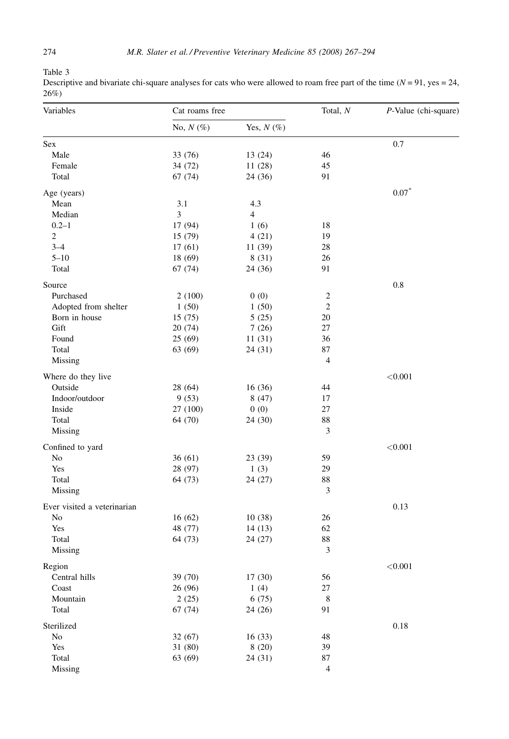Table 3

| Descriptive and bivariate chi-square analyses for cats who were allowed to roam free part of the time $(N = 91, \text{ yes} = 24, \text{$ |  |
|-------------------------------------------------------------------------------------------------------------------------------------------|--|
| $26\%$                                                                                                                                    |  |

| No, $N$ $(\%)$<br>Yes, $N(\%)$<br>0.7<br><b>Sex</b><br>Male<br>33 (76)<br>13 (24)<br>46<br>Female<br>34 (72)<br>11(28)<br>45<br>Total<br>91<br>67 (74)<br>24 (36)<br>$0.07*$<br>Age (years)<br>3.1<br>4.3<br>Mean<br>3<br>$\overline{\mathbf{4}}$<br>Median<br>$0.2 - 1$<br>17 (94)<br>1(6)<br>18<br>2<br>19<br>15 (79)<br>4(21)<br>$3 - 4$<br>17(61)<br>11 (39)<br>28<br>$5 - 10$<br>26<br>18 (69)<br>8(31)<br>Total<br>91<br>67 (74)<br>24 (36)<br>0.8<br>Source<br>Purchased<br>$\overline{c}$<br>2(100)<br>0(0)<br>$\sqrt{2}$<br>Adopted from shelter<br>1(50)<br>1(50)<br>Born in house<br>15(75)<br>5(25)<br>20<br>Gift<br>27<br>20 (74)<br>7(26)<br>Found<br>36<br>25 (69)<br>11 (31)<br>Total<br>63 (69)<br>24 (31)<br>87<br>4<br>Missing<br>< 0.001<br>Where do they live<br>Outside<br>16(36)<br>28 (64)<br>44<br>Indoor/outdoor<br>9(53)<br>8(47)<br>17<br>27<br>Inside<br>27 (100)<br>0(0)<br>Total<br>88<br>64 (70)<br>24 (30)<br>Missing<br>3<br>< 0.001<br>Confined to yard<br>No<br>36(61)<br>23 (39)<br>59<br>Yes<br>29<br>28 (97)<br>1(3)<br>Total<br>88<br>64 (73)<br>24 (27)<br>3<br>Missing<br>0.13<br>Ever visited a veterinarian<br>No<br>16(62)<br>10(38)<br>26<br>Yes<br>62<br>48 (77)<br>14 (13)<br>Total<br>64 (73)<br>88<br>24 (27)<br>3<br>Missing<br>Region<br>< 0.001<br>Central hills<br>39 (70)<br>17(30)<br>56<br>26 (96)<br>1(4)<br>27<br>Coast<br>Mountain<br>2(25)<br>6(75)<br>8<br>67(74)<br>Total<br>24 (26)<br>91 | Variables | Cat roams free |  | Total, N | $P$ -Value (chi-square) |
|-----------------------------------------------------------------------------------------------------------------------------------------------------------------------------------------------------------------------------------------------------------------------------------------------------------------------------------------------------------------------------------------------------------------------------------------------------------------------------------------------------------------------------------------------------------------------------------------------------------------------------------------------------------------------------------------------------------------------------------------------------------------------------------------------------------------------------------------------------------------------------------------------------------------------------------------------------------------------------------------------------------------------------------------------------------------------------------------------------------------------------------------------------------------------------------------------------------------------------------------------------------------------------------------------------------------------------------------------------------------------------------------------------------------------------------------------------------|-----------|----------------|--|----------|-------------------------|
|                                                                                                                                                                                                                                                                                                                                                                                                                                                                                                                                                                                                                                                                                                                                                                                                                                                                                                                                                                                                                                                                                                                                                                                                                                                                                                                                                                                                                                                           |           |                |  |          |                         |
|                                                                                                                                                                                                                                                                                                                                                                                                                                                                                                                                                                                                                                                                                                                                                                                                                                                                                                                                                                                                                                                                                                                                                                                                                                                                                                                                                                                                                                                           |           |                |  |          |                         |
|                                                                                                                                                                                                                                                                                                                                                                                                                                                                                                                                                                                                                                                                                                                                                                                                                                                                                                                                                                                                                                                                                                                                                                                                                                                                                                                                                                                                                                                           |           |                |  |          |                         |
|                                                                                                                                                                                                                                                                                                                                                                                                                                                                                                                                                                                                                                                                                                                                                                                                                                                                                                                                                                                                                                                                                                                                                                                                                                                                                                                                                                                                                                                           |           |                |  |          |                         |
|                                                                                                                                                                                                                                                                                                                                                                                                                                                                                                                                                                                                                                                                                                                                                                                                                                                                                                                                                                                                                                                                                                                                                                                                                                                                                                                                                                                                                                                           |           |                |  |          |                         |
|                                                                                                                                                                                                                                                                                                                                                                                                                                                                                                                                                                                                                                                                                                                                                                                                                                                                                                                                                                                                                                                                                                                                                                                                                                                                                                                                                                                                                                                           |           |                |  |          |                         |
|                                                                                                                                                                                                                                                                                                                                                                                                                                                                                                                                                                                                                                                                                                                                                                                                                                                                                                                                                                                                                                                                                                                                                                                                                                                                                                                                                                                                                                                           |           |                |  |          |                         |
|                                                                                                                                                                                                                                                                                                                                                                                                                                                                                                                                                                                                                                                                                                                                                                                                                                                                                                                                                                                                                                                                                                                                                                                                                                                                                                                                                                                                                                                           |           |                |  |          |                         |
|                                                                                                                                                                                                                                                                                                                                                                                                                                                                                                                                                                                                                                                                                                                                                                                                                                                                                                                                                                                                                                                                                                                                                                                                                                                                                                                                                                                                                                                           |           |                |  |          |                         |
|                                                                                                                                                                                                                                                                                                                                                                                                                                                                                                                                                                                                                                                                                                                                                                                                                                                                                                                                                                                                                                                                                                                                                                                                                                                                                                                                                                                                                                                           |           |                |  |          |                         |
|                                                                                                                                                                                                                                                                                                                                                                                                                                                                                                                                                                                                                                                                                                                                                                                                                                                                                                                                                                                                                                                                                                                                                                                                                                                                                                                                                                                                                                                           |           |                |  |          |                         |
|                                                                                                                                                                                                                                                                                                                                                                                                                                                                                                                                                                                                                                                                                                                                                                                                                                                                                                                                                                                                                                                                                                                                                                                                                                                                                                                                                                                                                                                           |           |                |  |          |                         |
|                                                                                                                                                                                                                                                                                                                                                                                                                                                                                                                                                                                                                                                                                                                                                                                                                                                                                                                                                                                                                                                                                                                                                                                                                                                                                                                                                                                                                                                           |           |                |  |          |                         |
|                                                                                                                                                                                                                                                                                                                                                                                                                                                                                                                                                                                                                                                                                                                                                                                                                                                                                                                                                                                                                                                                                                                                                                                                                                                                                                                                                                                                                                                           |           |                |  |          |                         |
|                                                                                                                                                                                                                                                                                                                                                                                                                                                                                                                                                                                                                                                                                                                                                                                                                                                                                                                                                                                                                                                                                                                                                                                                                                                                                                                                                                                                                                                           |           |                |  |          |                         |
|                                                                                                                                                                                                                                                                                                                                                                                                                                                                                                                                                                                                                                                                                                                                                                                                                                                                                                                                                                                                                                                                                                                                                                                                                                                                                                                                                                                                                                                           |           |                |  |          |                         |
|                                                                                                                                                                                                                                                                                                                                                                                                                                                                                                                                                                                                                                                                                                                                                                                                                                                                                                                                                                                                                                                                                                                                                                                                                                                                                                                                                                                                                                                           |           |                |  |          |                         |
|                                                                                                                                                                                                                                                                                                                                                                                                                                                                                                                                                                                                                                                                                                                                                                                                                                                                                                                                                                                                                                                                                                                                                                                                                                                                                                                                                                                                                                                           |           |                |  |          |                         |
|                                                                                                                                                                                                                                                                                                                                                                                                                                                                                                                                                                                                                                                                                                                                                                                                                                                                                                                                                                                                                                                                                                                                                                                                                                                                                                                                                                                                                                                           |           |                |  |          |                         |
|                                                                                                                                                                                                                                                                                                                                                                                                                                                                                                                                                                                                                                                                                                                                                                                                                                                                                                                                                                                                                                                                                                                                                                                                                                                                                                                                                                                                                                                           |           |                |  |          |                         |
|                                                                                                                                                                                                                                                                                                                                                                                                                                                                                                                                                                                                                                                                                                                                                                                                                                                                                                                                                                                                                                                                                                                                                                                                                                                                                                                                                                                                                                                           |           |                |  |          |                         |
|                                                                                                                                                                                                                                                                                                                                                                                                                                                                                                                                                                                                                                                                                                                                                                                                                                                                                                                                                                                                                                                                                                                                                                                                                                                                                                                                                                                                                                                           |           |                |  |          |                         |
|                                                                                                                                                                                                                                                                                                                                                                                                                                                                                                                                                                                                                                                                                                                                                                                                                                                                                                                                                                                                                                                                                                                                                                                                                                                                                                                                                                                                                                                           |           |                |  |          |                         |
|                                                                                                                                                                                                                                                                                                                                                                                                                                                                                                                                                                                                                                                                                                                                                                                                                                                                                                                                                                                                                                                                                                                                                                                                                                                                                                                                                                                                                                                           |           |                |  |          |                         |
|                                                                                                                                                                                                                                                                                                                                                                                                                                                                                                                                                                                                                                                                                                                                                                                                                                                                                                                                                                                                                                                                                                                                                                                                                                                                                                                                                                                                                                                           |           |                |  |          |                         |
|                                                                                                                                                                                                                                                                                                                                                                                                                                                                                                                                                                                                                                                                                                                                                                                                                                                                                                                                                                                                                                                                                                                                                                                                                                                                                                                                                                                                                                                           |           |                |  |          |                         |
|                                                                                                                                                                                                                                                                                                                                                                                                                                                                                                                                                                                                                                                                                                                                                                                                                                                                                                                                                                                                                                                                                                                                                                                                                                                                                                                                                                                                                                                           |           |                |  |          |                         |
|                                                                                                                                                                                                                                                                                                                                                                                                                                                                                                                                                                                                                                                                                                                                                                                                                                                                                                                                                                                                                                                                                                                                                                                                                                                                                                                                                                                                                                                           |           |                |  |          |                         |
|                                                                                                                                                                                                                                                                                                                                                                                                                                                                                                                                                                                                                                                                                                                                                                                                                                                                                                                                                                                                                                                                                                                                                                                                                                                                                                                                                                                                                                                           |           |                |  |          |                         |
|                                                                                                                                                                                                                                                                                                                                                                                                                                                                                                                                                                                                                                                                                                                                                                                                                                                                                                                                                                                                                                                                                                                                                                                                                                                                                                                                                                                                                                                           |           |                |  |          |                         |
|                                                                                                                                                                                                                                                                                                                                                                                                                                                                                                                                                                                                                                                                                                                                                                                                                                                                                                                                                                                                                                                                                                                                                                                                                                                                                                                                                                                                                                                           |           |                |  |          |                         |
|                                                                                                                                                                                                                                                                                                                                                                                                                                                                                                                                                                                                                                                                                                                                                                                                                                                                                                                                                                                                                                                                                                                                                                                                                                                                                                                                                                                                                                                           |           |                |  |          |                         |
|                                                                                                                                                                                                                                                                                                                                                                                                                                                                                                                                                                                                                                                                                                                                                                                                                                                                                                                                                                                                                                                                                                                                                                                                                                                                                                                                                                                                                                                           |           |                |  |          |                         |
|                                                                                                                                                                                                                                                                                                                                                                                                                                                                                                                                                                                                                                                                                                                                                                                                                                                                                                                                                                                                                                                                                                                                                                                                                                                                                                                                                                                                                                                           |           |                |  |          |                         |
|                                                                                                                                                                                                                                                                                                                                                                                                                                                                                                                                                                                                                                                                                                                                                                                                                                                                                                                                                                                                                                                                                                                                                                                                                                                                                                                                                                                                                                                           |           |                |  |          |                         |
|                                                                                                                                                                                                                                                                                                                                                                                                                                                                                                                                                                                                                                                                                                                                                                                                                                                                                                                                                                                                                                                                                                                                                                                                                                                                                                                                                                                                                                                           |           |                |  |          |                         |
|                                                                                                                                                                                                                                                                                                                                                                                                                                                                                                                                                                                                                                                                                                                                                                                                                                                                                                                                                                                                                                                                                                                                                                                                                                                                                                                                                                                                                                                           |           |                |  |          |                         |
|                                                                                                                                                                                                                                                                                                                                                                                                                                                                                                                                                                                                                                                                                                                                                                                                                                                                                                                                                                                                                                                                                                                                                                                                                                                                                                                                                                                                                                                           |           |                |  |          |                         |
|                                                                                                                                                                                                                                                                                                                                                                                                                                                                                                                                                                                                                                                                                                                                                                                                                                                                                                                                                                                                                                                                                                                                                                                                                                                                                                                                                                                                                                                           |           |                |  |          |                         |
|                                                                                                                                                                                                                                                                                                                                                                                                                                                                                                                                                                                                                                                                                                                                                                                                                                                                                                                                                                                                                                                                                                                                                                                                                                                                                                                                                                                                                                                           |           |                |  |          |                         |
|                                                                                                                                                                                                                                                                                                                                                                                                                                                                                                                                                                                                                                                                                                                                                                                                                                                                                                                                                                                                                                                                                                                                                                                                                                                                                                                                                                                                                                                           |           |                |  |          |                         |
|                                                                                                                                                                                                                                                                                                                                                                                                                                                                                                                                                                                                                                                                                                                                                                                                                                                                                                                                                                                                                                                                                                                                                                                                                                                                                                                                                                                                                                                           |           |                |  |          |                         |
|                                                                                                                                                                                                                                                                                                                                                                                                                                                                                                                                                                                                                                                                                                                                                                                                                                                                                                                                                                                                                                                                                                                                                                                                                                                                                                                                                                                                                                                           |           |                |  |          |                         |
|                                                                                                                                                                                                                                                                                                                                                                                                                                                                                                                                                                                                                                                                                                                                                                                                                                                                                                                                                                                                                                                                                                                                                                                                                                                                                                                                                                                                                                                           |           |                |  |          |                         |
| $0.18\,$<br>Sterilized                                                                                                                                                                                                                                                                                                                                                                                                                                                                                                                                                                                                                                                                                                                                                                                                                                                                                                                                                                                                                                                                                                                                                                                                                                                                                                                                                                                                                                    |           |                |  |          |                         |
| 32(67)<br>$\sqrt{48}$<br>No<br>16(33)                                                                                                                                                                                                                                                                                                                                                                                                                                                                                                                                                                                                                                                                                                                                                                                                                                                                                                                                                                                                                                                                                                                                                                                                                                                                                                                                                                                                                     |           |                |  |          |                         |
| Yes<br>31 (80)<br>8 (20)<br>39                                                                                                                                                                                                                                                                                                                                                                                                                                                                                                                                                                                                                                                                                                                                                                                                                                                                                                                                                                                                                                                                                                                                                                                                                                                                                                                                                                                                                            |           |                |  |          |                         |
| Total<br>63 (69)<br>24 (31)<br>87                                                                                                                                                                                                                                                                                                                                                                                                                                                                                                                                                                                                                                                                                                                                                                                                                                                                                                                                                                                                                                                                                                                                                                                                                                                                                                                                                                                                                         |           |                |  |          |                         |
| Missing<br>$\overline{4}$                                                                                                                                                                                                                                                                                                                                                                                                                                                                                                                                                                                                                                                                                                                                                                                                                                                                                                                                                                                                                                                                                                                                                                                                                                                                                                                                                                                                                                 |           |                |  |          |                         |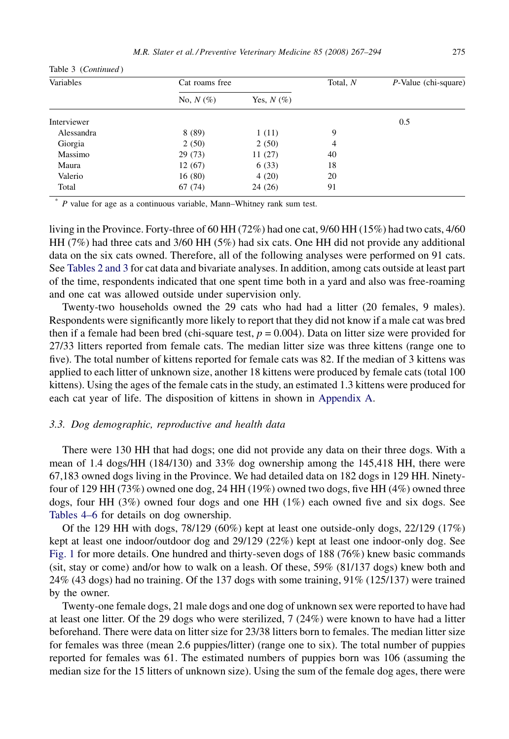| Variables   | Cat roams free |              |    | $P$ -Value (chi-square) |
|-------------|----------------|--------------|----|-------------------------|
|             | No. $N(\%)$    | Yes, $N(\%)$ |    |                         |
| Interviewer |                |              |    | 0.5                     |
| Alessandra  | 8(89)          | 1(11)        | 9  |                         |
| Giorgia     | 2(50)          | 2(50)        | 4  |                         |
| Massimo     | 29(73)         | 11(27)       | 40 |                         |
| Maura       | 12(67)         | 6(33)        | 18 |                         |
| Valerio     | 16(80)         | 4(20)        | 20 |                         |
| Total       | 67(74)         | 24 (26)      | 91 |                         |

<span id="page-8-0"></span>Table 3 (Continued )

 $P$  value for age as a continuous variable, Mann–Whitney rank sum test.

living in the Province. Forty-three of 60 HH (72%) had one cat, 9/60 HH (15%) had two cats, 4/60 HH (7%) had three cats and 3/60 HH (5%) had six cats. One HH did not provide any additional data on the six cats owned. Therefore, all of the following analyses were performed on 91 cats. See [Tables 2 and 3](#page-5-0) for cat data and bivariate analyses. In addition, among cats outside at least part of the time, respondents indicated that one spent time both in a yard and also was free-roaming and one cat was allowed outside under supervision only.

Twenty-two households owned the 29 cats who had had a litter (20 females, 9 males). Respondents were significantly more likely to report that they did not know if a male cat was bred then if a female had been bred (chi-square test,  $p = 0.004$ ). Data on litter size were provided for 27/33 litters reported from female cats. The median litter size was three kittens (range one to five). The total number of kittens reported for female cats was 82. If the median of 3 kittens was applied to each litter of unknown size, another 18 kittens were produced by female cats (total 100 kittens). Using the ages of the female cats in the study, an estimated 1.3 kittens were produced for each cat year of life. The disposition of kittens in shown in [Appendix A.](#page-26-0)

### 3.3. Dog demographic, reproductive and health data

There were 130 HH that had dogs; one did not provide any data on their three dogs. With a mean of 1.4 dogs/HH (184/130) and 33% dog ownership among the 145,418 HH, there were 67,183 owned dogs living in the Province. We had detailed data on 182 dogs in 129 HH. Ninetyfour of 129 HH (73%) owned one dog, 24 HH (19%) owned two dogs, five HH (4%) owned three dogs, four HH (3%) owned four dogs and one HH (1%) each owned five and six dogs. See [Tables 4–6](#page-9-0) for details on dog ownership.

Of the 129 HH with dogs, 78/129 (60%) kept at least one outside-only dogs, 22/129 (17%) kept at least one indoor/outdoor dog and 29/129 (22%) kept at least one indoor-only dog. See [Fig. 1](#page-16-0) for more details. One hundred and thirty-seven dogs of 188 (76%) knew basic commands (sit, stay or come) and/or how to walk on a leash. Of these, 59% (81/137 dogs) knew both and 24% (43 dogs) had no training. Of the 137 dogs with some training, 91% (125/137) were trained by the owner.

Twenty-one female dogs, 21 male dogs and one dog of unknown sex were reported to have had at least one litter. Of the 29 dogs who were sterilized, 7 (24%) were known to have had a litter beforehand. There were data on litter size for 23/38 litters born to females. The median litter size for females was three (mean 2.6 puppies/litter) (range one to six). The total number of puppies reported for females was 61. The estimated numbers of puppies born was 106 (assuming the median size for the 15 litters of unknown size). Using the sum of the female dog ages, there were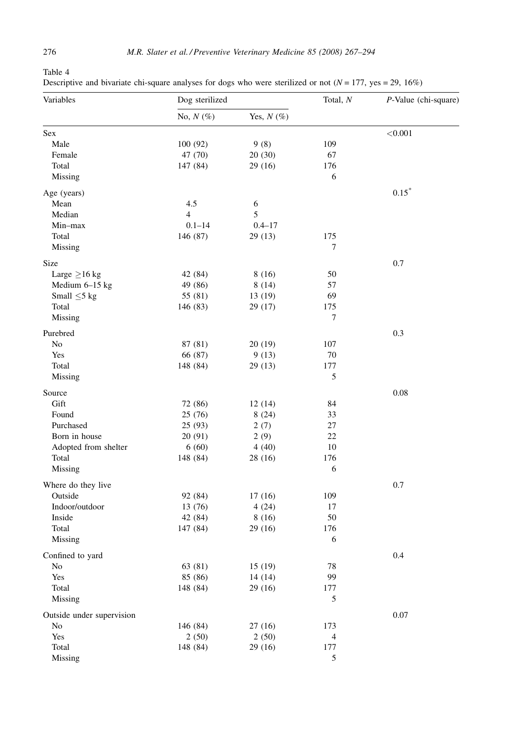<span id="page-9-0"></span>

| ۰. | ۰ | I<br>۰, |  |
|----|---|---------|--|
|    |   |         |  |

Table 4 Descriptive and bivariate chi-square analyses for dogs who were sterilized or not  $(N = 177, \text{ yes} = 29, \frac{16\%}{100})$ 

| Variables                 | Dog sterilized |              | Total, N       | <i>P</i> -Value (chi-square) |
|---------------------------|----------------|--------------|----------------|------------------------------|
|                           | No, $N(\%)$    | Yes, $N(\%)$ |                |                              |
| Sex                       |                |              |                | ${<}0.001$                   |
| Male                      | 100 (92)       | 9(8)         | 109            |                              |
| Female                    | 47 (70)        | 20(30)       | 67             |                              |
| Total                     | 147 (84)       | 29(16)       | 176            |                              |
| Missing                   |                |              | 6              |                              |
| Age (years)               |                |              |                | $0.15^*$                     |
| Mean                      | 4.5            | 6            |                |                              |
| Median                    | $\overline{4}$ | 5            |                |                              |
| Min-max                   | $0.1 - 14$     | $0.4 - 17$   |                |                              |
| Total                     | 146 (87)       | 29 (13)      | 175            |                              |
| Missing                   |                |              | 7              |                              |
| Size                      |                |              |                | 0.7                          |
| Large $\geq 16$ kg        | 42 (84)        | 8 (16)       | 50             |                              |
| Medium 6-15 kg            | 49 (86)        | 8(14)        | 57             |                              |
| Small $\leq$ 5 kg         | 55 (81)        | 13 (19)      | 69             |                              |
| Total                     | 146 (83)       | 29 (17)      | 175            |                              |
| Missing                   |                |              | $\tau$         |                              |
| Purebred                  |                |              |                | 0.3                          |
| No                        | 87 (81)        | 20 (19)      | 107            |                              |
| Yes                       | 66 (87)        | 9(13)        | 70             |                              |
| Total                     | 148 (84)       | 29 (13)      | 177            |                              |
| Missing                   |                |              | 5              |                              |
| Source                    |                |              |                | 0.08                         |
| Gift                      | 72 (86)        | 12(14)       | 84             |                              |
| Found                     | 25 (76)        | 8(24)        | 33             |                              |
| Purchased                 | 25 (93)        | 2(7)         | 27             |                              |
| Born in house             | 20 (91)        | 2(9)         | 22             |                              |
| Adopted from shelter      | 6(60)          | 4(40)        | 10             |                              |
| Total                     |                |              | 176            |                              |
| Missing                   | 148 (84)       | 28 (16)      | 6              |                              |
| Where do they live        |                |              |                | 0.7                          |
| Outside                   | 92 (84)        | 17(16)       | 109            |                              |
| Indoor/outdoor            |                |              |                |                              |
| Inside                    | 13 (76)        | 4(24)        | 17<br>50       |                              |
|                           | 42 (84)        | 8(16)        |                |                              |
| Total<br>Missing          | 147 (84)       | 29 (16)      | 176<br>6       |                              |
|                           |                |              |                | 0.4                          |
| Confined to yard<br>No    | 63 (81)        |              | 78             |                              |
|                           |                | 15 (19)      | 99             |                              |
| Yes                       | 85 (86)        | 14(14)       |                |                              |
| Total<br>Missing          | 148 (84)       | 29(16)       | 177<br>5       |                              |
| Outside under supervision |                |              |                | 0.07                         |
| No                        | 146 (84)       | 27(16)       | 173            |                              |
| Yes                       |                |              | $\overline{4}$ |                              |
|                           | 2(50)          | 2(50)        |                |                              |
| Total                     | 148 (84)       | 29 (16)      | 177            |                              |
| Missing                   |                |              | $\sqrt{5}$     |                              |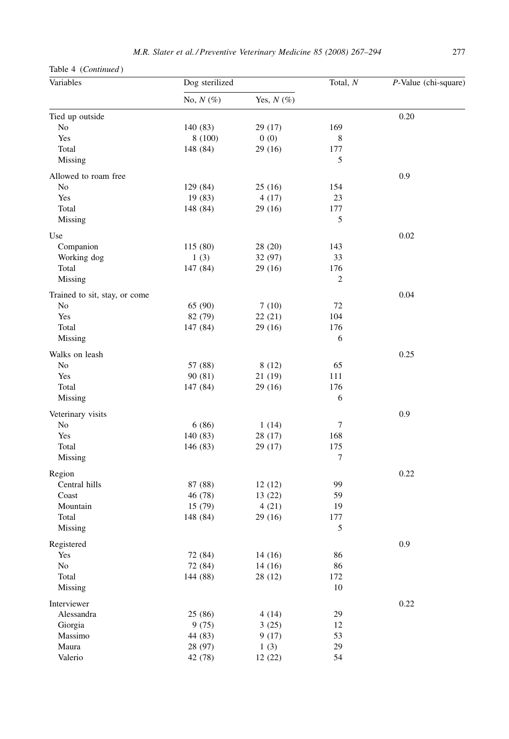## Table 4 (Continued )

| No, $N(\%)$<br>Yes, $N(\%)$<br>Tied up outside<br>0.20<br>169<br>No<br>140 (83)<br>29 (17)<br>Yes<br>8(100)<br>8<br>0(0)<br>Total<br>177<br>148 (84)<br>29 (16)<br>Missing<br>5<br>0.9<br>Allowed to roam free<br>129 (84)<br>154<br>No<br>25 (16)<br>Yes<br>23<br>19(83)<br>4(17)<br>Total<br>177<br>148 (84)<br>29 (16)<br>5<br>Missing<br>0.02<br>Use<br>Companion<br>115 (80)<br>143<br>28 (20)<br>Working dog<br>1(3)<br>33<br>32 (97)<br>Total<br>176<br>147 (84)<br>29 (16)<br>2<br>Missing<br>0.04<br>No<br>65 (90)<br>7(10)<br>72<br>Yes<br>104<br>82 (79)<br>22(21)<br>Total<br>147 (84)<br>176<br>29 (16)<br>Missing<br>6<br>0.25<br>65<br>No<br>57 (88)<br>8(12)<br>Yes<br>111<br>90 $(81)$<br>21 (19)<br>Total<br>176<br>147 (84)<br>29 (16)<br>Missing<br>6<br>0.9<br>Veterinary visits<br>No<br>6(86)<br>7<br>1(14)<br>Yes<br>140 (83)<br>28 (17)<br>168<br>Total<br>175<br>146 (83)<br>29 (17)<br>Missing<br>7<br>Region<br>0.22<br>99<br>Central hills<br>87 (88)<br>12(12)<br>Coast<br>59<br>46 (78)<br>13 (22)<br>Mountain<br>15 (79)<br>4(21)<br>19<br>Total<br>177<br>148 (84)<br>29 (16)<br>Missing<br>5<br>0.9<br>Yes<br>86<br>72 (84)<br>14(16)<br>No<br>72 (84)<br>14 (16)<br>86<br>Total<br>144 (88)<br>28 (12)<br>172<br>10<br>Missing<br>0.22<br>29<br>Alessandra<br>25 (86)<br>4(14)<br>Giorgia<br>9(75)<br>12<br>3(25)<br>Massimo<br>44 (83)<br>53<br>9(17)<br>Maura<br>29<br>28 (97)<br>1(3) | Variables                     | Dog sterilized |        | Total, N | P-Value (chi-square) |
|-----------------------------------------------------------------------------------------------------------------------------------------------------------------------------------------------------------------------------------------------------------------------------------------------------------------------------------------------------------------------------------------------------------------------------------------------------------------------------------------------------------------------------------------------------------------------------------------------------------------------------------------------------------------------------------------------------------------------------------------------------------------------------------------------------------------------------------------------------------------------------------------------------------------------------------------------------------------------------------------------------------------------------------------------------------------------------------------------------------------------------------------------------------------------------------------------------------------------------------------------------------------------------------------------------------------------------------------------------------------------------------------------------------------------------|-------------------------------|----------------|--------|----------|----------------------|
|                                                                                                                                                                                                                                                                                                                                                                                                                                                                                                                                                                                                                                                                                                                                                                                                                                                                                                                                                                                                                                                                                                                                                                                                                                                                                                                                                                                                                             |                               |                |        |          |                      |
|                                                                                                                                                                                                                                                                                                                                                                                                                                                                                                                                                                                                                                                                                                                                                                                                                                                                                                                                                                                                                                                                                                                                                                                                                                                                                                                                                                                                                             |                               |                |        |          |                      |
|                                                                                                                                                                                                                                                                                                                                                                                                                                                                                                                                                                                                                                                                                                                                                                                                                                                                                                                                                                                                                                                                                                                                                                                                                                                                                                                                                                                                                             |                               |                |        |          |                      |
|                                                                                                                                                                                                                                                                                                                                                                                                                                                                                                                                                                                                                                                                                                                                                                                                                                                                                                                                                                                                                                                                                                                                                                                                                                                                                                                                                                                                                             |                               |                |        |          |                      |
|                                                                                                                                                                                                                                                                                                                                                                                                                                                                                                                                                                                                                                                                                                                                                                                                                                                                                                                                                                                                                                                                                                                                                                                                                                                                                                                                                                                                                             |                               |                |        |          |                      |
|                                                                                                                                                                                                                                                                                                                                                                                                                                                                                                                                                                                                                                                                                                                                                                                                                                                                                                                                                                                                                                                                                                                                                                                                                                                                                                                                                                                                                             |                               |                |        |          |                      |
|                                                                                                                                                                                                                                                                                                                                                                                                                                                                                                                                                                                                                                                                                                                                                                                                                                                                                                                                                                                                                                                                                                                                                                                                                                                                                                                                                                                                                             |                               |                |        |          |                      |
|                                                                                                                                                                                                                                                                                                                                                                                                                                                                                                                                                                                                                                                                                                                                                                                                                                                                                                                                                                                                                                                                                                                                                                                                                                                                                                                                                                                                                             |                               |                |        |          |                      |
|                                                                                                                                                                                                                                                                                                                                                                                                                                                                                                                                                                                                                                                                                                                                                                                                                                                                                                                                                                                                                                                                                                                                                                                                                                                                                                                                                                                                                             |                               |                |        |          |                      |
|                                                                                                                                                                                                                                                                                                                                                                                                                                                                                                                                                                                                                                                                                                                                                                                                                                                                                                                                                                                                                                                                                                                                                                                                                                                                                                                                                                                                                             |                               |                |        |          |                      |
|                                                                                                                                                                                                                                                                                                                                                                                                                                                                                                                                                                                                                                                                                                                                                                                                                                                                                                                                                                                                                                                                                                                                                                                                                                                                                                                                                                                                                             |                               |                |        |          |                      |
|                                                                                                                                                                                                                                                                                                                                                                                                                                                                                                                                                                                                                                                                                                                                                                                                                                                                                                                                                                                                                                                                                                                                                                                                                                                                                                                                                                                                                             |                               |                |        |          |                      |
|                                                                                                                                                                                                                                                                                                                                                                                                                                                                                                                                                                                                                                                                                                                                                                                                                                                                                                                                                                                                                                                                                                                                                                                                                                                                                                                                                                                                                             |                               |                |        |          |                      |
|                                                                                                                                                                                                                                                                                                                                                                                                                                                                                                                                                                                                                                                                                                                                                                                                                                                                                                                                                                                                                                                                                                                                                                                                                                                                                                                                                                                                                             |                               |                |        |          |                      |
|                                                                                                                                                                                                                                                                                                                                                                                                                                                                                                                                                                                                                                                                                                                                                                                                                                                                                                                                                                                                                                                                                                                                                                                                                                                                                                                                                                                                                             |                               |                |        |          |                      |
|                                                                                                                                                                                                                                                                                                                                                                                                                                                                                                                                                                                                                                                                                                                                                                                                                                                                                                                                                                                                                                                                                                                                                                                                                                                                                                                                                                                                                             |                               |                |        |          |                      |
|                                                                                                                                                                                                                                                                                                                                                                                                                                                                                                                                                                                                                                                                                                                                                                                                                                                                                                                                                                                                                                                                                                                                                                                                                                                                                                                                                                                                                             |                               |                |        |          |                      |
|                                                                                                                                                                                                                                                                                                                                                                                                                                                                                                                                                                                                                                                                                                                                                                                                                                                                                                                                                                                                                                                                                                                                                                                                                                                                                                                                                                                                                             | Trained to sit, stay, or come |                |        |          |                      |
|                                                                                                                                                                                                                                                                                                                                                                                                                                                                                                                                                                                                                                                                                                                                                                                                                                                                                                                                                                                                                                                                                                                                                                                                                                                                                                                                                                                                                             |                               |                |        |          |                      |
|                                                                                                                                                                                                                                                                                                                                                                                                                                                                                                                                                                                                                                                                                                                                                                                                                                                                                                                                                                                                                                                                                                                                                                                                                                                                                                                                                                                                                             |                               |                |        |          |                      |
|                                                                                                                                                                                                                                                                                                                                                                                                                                                                                                                                                                                                                                                                                                                                                                                                                                                                                                                                                                                                                                                                                                                                                                                                                                                                                                                                                                                                                             |                               |                |        |          |                      |
|                                                                                                                                                                                                                                                                                                                                                                                                                                                                                                                                                                                                                                                                                                                                                                                                                                                                                                                                                                                                                                                                                                                                                                                                                                                                                                                                                                                                                             |                               |                |        |          |                      |
|                                                                                                                                                                                                                                                                                                                                                                                                                                                                                                                                                                                                                                                                                                                                                                                                                                                                                                                                                                                                                                                                                                                                                                                                                                                                                                                                                                                                                             | Walks on leash                |                |        |          |                      |
|                                                                                                                                                                                                                                                                                                                                                                                                                                                                                                                                                                                                                                                                                                                                                                                                                                                                                                                                                                                                                                                                                                                                                                                                                                                                                                                                                                                                                             |                               |                |        |          |                      |
|                                                                                                                                                                                                                                                                                                                                                                                                                                                                                                                                                                                                                                                                                                                                                                                                                                                                                                                                                                                                                                                                                                                                                                                                                                                                                                                                                                                                                             |                               |                |        |          |                      |
|                                                                                                                                                                                                                                                                                                                                                                                                                                                                                                                                                                                                                                                                                                                                                                                                                                                                                                                                                                                                                                                                                                                                                                                                                                                                                                                                                                                                                             |                               |                |        |          |                      |
|                                                                                                                                                                                                                                                                                                                                                                                                                                                                                                                                                                                                                                                                                                                                                                                                                                                                                                                                                                                                                                                                                                                                                                                                                                                                                                                                                                                                                             |                               |                |        |          |                      |
|                                                                                                                                                                                                                                                                                                                                                                                                                                                                                                                                                                                                                                                                                                                                                                                                                                                                                                                                                                                                                                                                                                                                                                                                                                                                                                                                                                                                                             |                               |                |        |          |                      |
|                                                                                                                                                                                                                                                                                                                                                                                                                                                                                                                                                                                                                                                                                                                                                                                                                                                                                                                                                                                                                                                                                                                                                                                                                                                                                                                                                                                                                             |                               |                |        |          |                      |
|                                                                                                                                                                                                                                                                                                                                                                                                                                                                                                                                                                                                                                                                                                                                                                                                                                                                                                                                                                                                                                                                                                                                                                                                                                                                                                                                                                                                                             |                               |                |        |          |                      |
|                                                                                                                                                                                                                                                                                                                                                                                                                                                                                                                                                                                                                                                                                                                                                                                                                                                                                                                                                                                                                                                                                                                                                                                                                                                                                                                                                                                                                             |                               |                |        |          |                      |
|                                                                                                                                                                                                                                                                                                                                                                                                                                                                                                                                                                                                                                                                                                                                                                                                                                                                                                                                                                                                                                                                                                                                                                                                                                                                                                                                                                                                                             |                               |                |        |          |                      |
|                                                                                                                                                                                                                                                                                                                                                                                                                                                                                                                                                                                                                                                                                                                                                                                                                                                                                                                                                                                                                                                                                                                                                                                                                                                                                                                                                                                                                             |                               |                |        |          |                      |
|                                                                                                                                                                                                                                                                                                                                                                                                                                                                                                                                                                                                                                                                                                                                                                                                                                                                                                                                                                                                                                                                                                                                                                                                                                                                                                                                                                                                                             |                               |                |        |          |                      |
|                                                                                                                                                                                                                                                                                                                                                                                                                                                                                                                                                                                                                                                                                                                                                                                                                                                                                                                                                                                                                                                                                                                                                                                                                                                                                                                                                                                                                             |                               |                |        |          |                      |
|                                                                                                                                                                                                                                                                                                                                                                                                                                                                                                                                                                                                                                                                                                                                                                                                                                                                                                                                                                                                                                                                                                                                                                                                                                                                                                                                                                                                                             |                               |                |        |          |                      |
|                                                                                                                                                                                                                                                                                                                                                                                                                                                                                                                                                                                                                                                                                                                                                                                                                                                                                                                                                                                                                                                                                                                                                                                                                                                                                                                                                                                                                             |                               |                |        |          |                      |
|                                                                                                                                                                                                                                                                                                                                                                                                                                                                                                                                                                                                                                                                                                                                                                                                                                                                                                                                                                                                                                                                                                                                                                                                                                                                                                                                                                                                                             |                               |                |        |          |                      |
|                                                                                                                                                                                                                                                                                                                                                                                                                                                                                                                                                                                                                                                                                                                                                                                                                                                                                                                                                                                                                                                                                                                                                                                                                                                                                                                                                                                                                             |                               |                |        |          |                      |
|                                                                                                                                                                                                                                                                                                                                                                                                                                                                                                                                                                                                                                                                                                                                                                                                                                                                                                                                                                                                                                                                                                                                                                                                                                                                                                                                                                                                                             | Registered                    |                |        |          |                      |
|                                                                                                                                                                                                                                                                                                                                                                                                                                                                                                                                                                                                                                                                                                                                                                                                                                                                                                                                                                                                                                                                                                                                                                                                                                                                                                                                                                                                                             |                               |                |        |          |                      |
|                                                                                                                                                                                                                                                                                                                                                                                                                                                                                                                                                                                                                                                                                                                                                                                                                                                                                                                                                                                                                                                                                                                                                                                                                                                                                                                                                                                                                             |                               |                |        |          |                      |
|                                                                                                                                                                                                                                                                                                                                                                                                                                                                                                                                                                                                                                                                                                                                                                                                                                                                                                                                                                                                                                                                                                                                                                                                                                                                                                                                                                                                                             |                               |                |        |          |                      |
|                                                                                                                                                                                                                                                                                                                                                                                                                                                                                                                                                                                                                                                                                                                                                                                                                                                                                                                                                                                                                                                                                                                                                                                                                                                                                                                                                                                                                             |                               |                |        |          |                      |
|                                                                                                                                                                                                                                                                                                                                                                                                                                                                                                                                                                                                                                                                                                                                                                                                                                                                                                                                                                                                                                                                                                                                                                                                                                                                                                                                                                                                                             | Interviewer                   |                |        |          |                      |
|                                                                                                                                                                                                                                                                                                                                                                                                                                                                                                                                                                                                                                                                                                                                                                                                                                                                                                                                                                                                                                                                                                                                                                                                                                                                                                                                                                                                                             |                               |                |        |          |                      |
|                                                                                                                                                                                                                                                                                                                                                                                                                                                                                                                                                                                                                                                                                                                                                                                                                                                                                                                                                                                                                                                                                                                                                                                                                                                                                                                                                                                                                             |                               |                |        |          |                      |
|                                                                                                                                                                                                                                                                                                                                                                                                                                                                                                                                                                                                                                                                                                                                                                                                                                                                                                                                                                                                                                                                                                                                                                                                                                                                                                                                                                                                                             |                               |                |        |          |                      |
|                                                                                                                                                                                                                                                                                                                                                                                                                                                                                                                                                                                                                                                                                                                                                                                                                                                                                                                                                                                                                                                                                                                                                                                                                                                                                                                                                                                                                             |                               |                |        |          |                      |
|                                                                                                                                                                                                                                                                                                                                                                                                                                                                                                                                                                                                                                                                                                                                                                                                                                                                                                                                                                                                                                                                                                                                                                                                                                                                                                                                                                                                                             | Valerio                       | 42 (78)        | 12(22) | 54       |                      |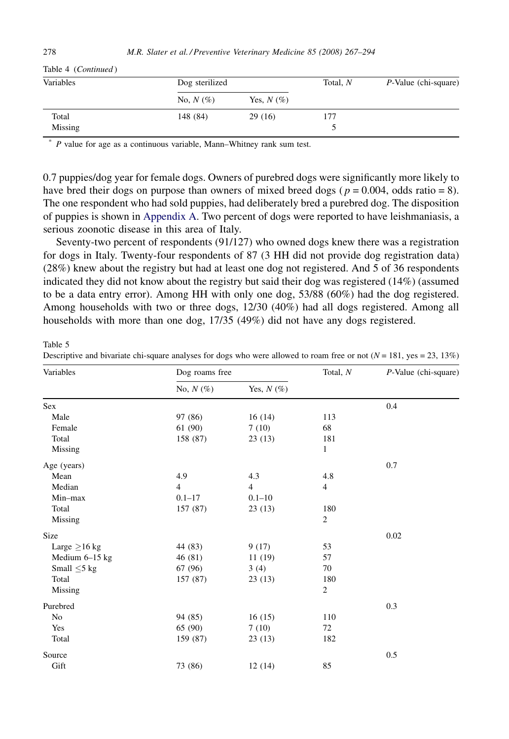| Variables | Dog sterilized |              |     | P-Value (chi-square) |
|-----------|----------------|--------------|-----|----------------------|
|           | No, $N(\%)$    | Yes, $N(\%)$ |     |                      |
| Total     | 148 (84)       | 29(16)       | 177 |                      |
| Missing   |                |              |     |                      |

#### <span id="page-11-0"></span>Table 4 (Continued )

P value for age as a continuous variable, Mann–Whitney rank sum test.

0.7 puppies/dog year for female dogs. Owners of purebred dogs were significantly more likely to have bred their dogs on purpose than owners of mixed breed dogs ( $p = 0.004$ , odds ratio = 8). The one respondent who had sold puppies, had deliberately bred a purebred dog. The disposition of puppies is shown in [Appendix A.](#page-26-0) Two percent of dogs were reported to have leishmaniasis, a serious zoonotic disease in this area of Italy.

Seventy-two percent of respondents (91/127) who owned dogs knew there was a registration for dogs in Italy. Twenty-four respondents of 87 (3 HH did not provide dog registration data) (28%) knew about the registry but had at least one dog not registered. And 5 of 36 respondents indicated they did not know about the registry but said their dog was registered (14%) (assumed to be a data entry error). Among HH with only one dog, 53/88 (60%) had the dog registered. Among households with two or three dogs, 12/30 (40%) had all dogs registered. Among all households with more than one dog, 17/35 (49%) did not have any dogs registered.

Table 5

Descriptive and bivariate chi-square analyses for dogs who were allowed to roam free or not  $(N = 181, \text{yes} = 23, 13\%)$ 

| Variables          | Dog roams free |                | Total, N       | $P$ -Value (chi-square) |
|--------------------|----------------|----------------|----------------|-------------------------|
|                    | No, $N(\%)$    | Yes, $N(\%)$   |                |                         |
| Sex                |                |                |                | 0.4                     |
| Male               | 97 (86)        | 16(14)         | 113            |                         |
| Female             | 61 (90)        | 7(10)          | 68             |                         |
| Total              | 158 (87)       | 23(13)         | 181            |                         |
| Missing            |                |                | $\mathbf{1}$   |                         |
| Age (years)        |                |                |                | 0.7                     |
| Mean               | 4.9            | 4.3            | 4.8            |                         |
| Median             | $\overline{4}$ | $\overline{4}$ | $\overline{4}$ |                         |
| Min-max            | $0.1 - 17$     | $0.1 - 10$     |                |                         |
| Total              | 157 (87)       | 23(13)         | 180            |                         |
| Missing            |                |                | $\overline{c}$ |                         |
| Size               |                |                |                | 0.02                    |
| Large $\geq 16$ kg | 44 (83)        | 9(17)          | 53             |                         |
| Medium 6-15 kg     | 46 (81)        | 11(19)         | 57             |                         |
| Small $\leq$ 5 kg  | 67 (96)        | 3(4)           | 70             |                         |
| Total              | 157 (87)       | 23(13)         | 180            |                         |
| Missing            |                |                | 2              |                         |
| Purebred           |                |                |                | 0.3                     |
| No                 | 94 (85)        | 16(15)         | 110            |                         |
| Yes                | 65 (90)        | 7(10)          | 72             |                         |
| Total              | 159 (87)       | 23(13)         | 182            |                         |
| Source             |                |                |                | 0.5                     |
| Gift               | 73 (86)        | 12(14)         | 85             |                         |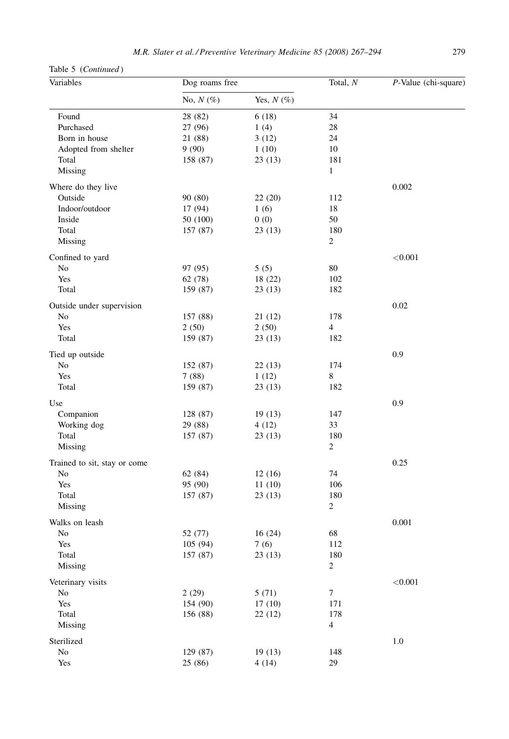## Table 5 (Continued )

| Variables                    | Dog roams free |              | Total, $N$       | P-Value (chi-square) |
|------------------------------|----------------|--------------|------------------|----------------------|
|                              | No, $N(\%)$    | Yes, $N(\%)$ |                  |                      |
| Found                        | 28 (82)        | 6(18)        | 34               |                      |
| Purchased                    | 27 (96)        | 1(4)         | 28               |                      |
| Born in house                | 21 (88)        | 3(12)        | 24               |                      |
| Adopted from shelter         | 9(90)          | 1(10)        | 10               |                      |
| Total                        | 158 (87)       | 23(13)       | 181              |                      |
| Missing                      |                |              | $\mathbf{1}$     |                      |
| Where do they live           |                |              |                  | 0.002                |
| Outside                      | 90 (80)        | 22(20)       | 112              |                      |
| Indoor/outdoor               | 17 (94)        | 1(6)         | 18               |                      |
| Inside                       | 50 (100)       | 0(0)         | 50               |                      |
| Total                        | 157 (87)       | 23(13)       | 180              |                      |
| Missing                      |                |              | $\boldsymbol{2}$ |                      |
| Confined to yard             |                |              |                  | < 0.001              |
| No                           | 97 (95)        | 5(5)         | 80               |                      |
| Yes                          | 62 (78)        | 18 (22)      | 102              |                      |
| Total                        | 159 (87)       | 23(13)       | 182              |                      |
| Outside under supervision    |                |              |                  | 0.02                 |
| No                           | 157 (88)       | 21 (12)      | 178              |                      |
| Yes                          | 2(50)          | 2(50)        | $\overline{4}$   |                      |
| Total                        | 159 (87)       | 23(13)       | 182              |                      |
| Tied up outside              |                |              |                  | 0.9                  |
| No                           | 152 (87)       | 22(13)       | 174              |                      |
| Yes                          | 7(88)          | 1(12)        | 8                |                      |
| Total                        | 159 (87)       | 23(13)       | 182              |                      |
| Use                          |                |              |                  | 0.9                  |
| Companion                    | 128 (87)       | 19(13)       | 147              |                      |
| Working dog                  | 29 (88)        | 4(12)        | 33               |                      |
| Total                        | 157 (87)       | 23(13)       | 180              |                      |
| Missing                      |                |              | $\overline{c}$   |                      |
| Trained to sit, stay or come |                |              |                  | 0.25                 |
| No                           | 62 (84)        | 12(16)       | 74               |                      |
| Yes                          | 95 (90)        | 11 (10)      | 106              |                      |
| Total                        | 157 (87)       | 23(13)       | 180              |                      |
| Missing                      |                |              | 2                |                      |
| Walks on leash               |                |              |                  | 0.001                |
| No                           | 52 (77)        | 16(24)       | 68               |                      |
| Yes                          | 105(94)        | 7(6)         | 112              |                      |
| Total                        | 157 (87)       | 23(13)       | 180              |                      |
| Missing                      |                |              | 2                |                      |
| Veterinary visits            |                |              |                  | < 0.001              |
| No                           | 2(29)          | 5(71)        | $\boldsymbol{7}$ |                      |
| Yes                          | 154 (90)       | 17(10)       | 171              |                      |
| Total                        | 156 (88)       | 22(12)       | 178              |                      |
| Missing                      |                |              | $\overline{4}$   |                      |
| Sterilized                   |                |              |                  | $1.0\,$              |
| $\rm No$                     | 129 (87)       | 19(13)       | 148              |                      |
| Yes                          | 25 (86)        | 4(14)        | 29               |                      |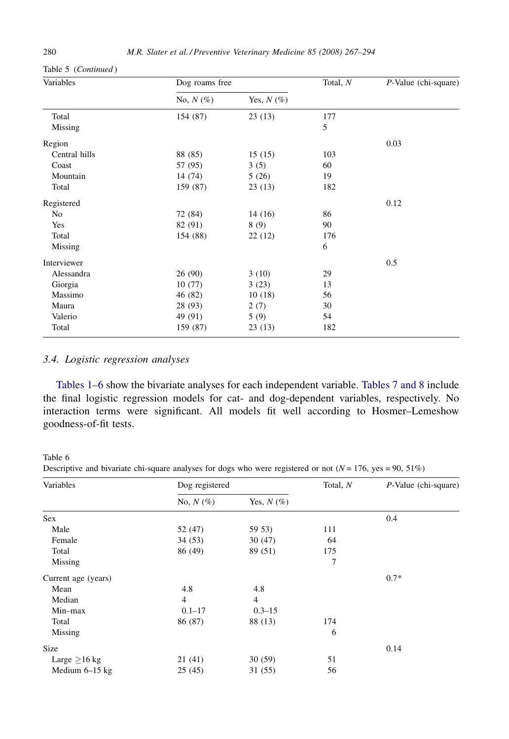| Variables     | Dog roams free |              | Total, N | $P$ -Value (chi-square) |
|---------------|----------------|--------------|----------|-------------------------|
|               | No, $N(\%)$    | Yes, $N(\%)$ |          |                         |
| Total         | 154 (87)       | 23(13)       | 177      |                         |
| Missing       |                |              | 5        |                         |
| Region        |                |              |          | 0.03                    |
| Central hills | 88 (85)        | 15(15)       | 103      |                         |
| Coast         | 57 (95)        | 3(5)         | 60       |                         |
| Mountain      | 14 (74)        | 5(26)        | 19       |                         |
| Total         | 159 (87)       | 23(13)       | 182      |                         |
| Registered    |                |              |          | 0.12                    |
| No            | 72 (84)        | 14(16)       | 86       |                         |
| Yes           | 82 (91)        | 8(9)         | 90       |                         |
| Total         | 154 (88)       | 22(12)       | 176      |                         |
| Missing       |                |              | 6        |                         |
| Interviewer   |                |              |          | 0.5                     |
| Alessandra    | 26(90)         | 3(10)        | 29       |                         |
| Giorgia       | 10(77)         | 3(23)        | 13       |                         |
| Massimo       | 46 (82)        | 10(18)       | 56       |                         |
| Maura         | 28 (93)        | 2(7)         | 30       |                         |
| Valerio       | 49 (91)        | 5(9)         | 54       |                         |
| Total         | 159 (87)       | 23(13)       | 182      |                         |

Table 5 (Continued )

## 3.4. Logistic regression analyses

[Tables 1–6](#page-3-0) show the bivariate analyses for each independent variable. [Tables 7 and 8](#page-17-0) include the final logistic regression models for cat- and dog-dependent variables, respectively. No interaction terms were significant. All models fit well according to Hosmer–Lemeshow goodness-of-fit tests.

Table 6

| Descriptive and bivariate chi-square analyses for dogs who were registered or not ( $N = 176$ , yes = 90, 51%) |  |  |  |
|----------------------------------------------------------------------------------------------------------------|--|--|--|
|                                                                                                                |  |  |  |

| Variables           | Dog registered |                | Total, $N$ | $P$ -Value (chi-square) |
|---------------------|----------------|----------------|------------|-------------------------|
|                     | No, $N(\%)$    | Yes, $N(\%)$   |            |                         |
| Sex                 |                |                |            | 0.4                     |
| Male                | 52 (47)        | 59 53)         | 111        |                         |
| Female              | 34(53)         | 30 (47)        | 64         |                         |
| Total               | 86 (49)        | 89 (51)        | 175        |                         |
| Missing             |                |                | 7          |                         |
| Current age (years) |                |                |            | $0.7*$                  |
| Mean                | 4.8            | 4.8            |            |                         |
| Median              | 4              | $\overline{4}$ |            |                         |
| Min-max             | $0.1 - 17$     | $0.3 - 15$     |            |                         |
| Total               | 86 (87)        | 88 (13)        | 174        |                         |
| Missing             |                |                | 6          |                         |
| Size                |                |                |            | 0.14                    |
| Large $>16$ kg      | 21(41)         | 30(59)         | 51         |                         |
| Medium $6-15$ kg    | 25(45)         | 31 (55)        | 56         |                         |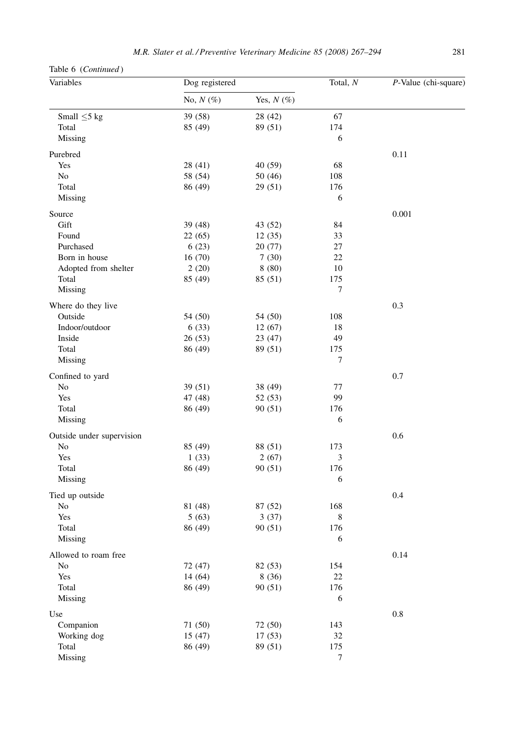| Variables                 | Dog registered |              | Total, $N$     | $P$ -Value (chi-square) |
|---------------------------|----------------|--------------|----------------|-------------------------|
|                           | No, $N(\%)$    | Yes, $N(\%)$ |                |                         |
| Small $\leq$ 5 kg         | 39 (58)        | 28 (42)      | 67             |                         |
| Total                     | 85 (49)        | 89 (51)      | 174            |                         |
| Missing                   |                |              | 6              |                         |
| Purebred                  |                |              |                | 0.11                    |
| Yes                       | 28 (41)        | 40 (59)      | 68             |                         |
| No                        | 58 (54)        | 50 (46)      | 108            |                         |
| Total                     | 86 (49)        | 29 (51)      | 176            |                         |
| Missing                   |                |              | 6              |                         |
| Source                    |                |              |                | 0.001                   |
| Gift                      | 39 (48)        | 43 (52)      | 84             |                         |
| Found                     | 22(65)         | 12(35)       | 33             |                         |
| Purchased                 | 6(23)          | 20 (77)      | 27             |                         |
| Born in house             | 16(70)         | 7(30)        | 22             |                         |
| Adopted from shelter      | 2(20)          | 8(80)        | 10             |                         |
| Total                     | 85 (49)        | 85 (51)      | 175            |                         |
| Missing                   |                |              | 7              |                         |
| Where do they live        |                |              |                | 0.3                     |
| Outside                   | 54 (50)        | 54 (50)      | 108            |                         |
| Indoor/outdoor            | 6(33)          | 12(67)       | 18             |                         |
| Inside                    | 26 (53)        | 23 (47)      | 49             |                         |
| Total                     | 86 (49)        | 89 (51)      | 175            |                         |
| Missing                   |                |              | 7              |                         |
| Confined to yard          |                |              |                | 0.7                     |
| No                        | 39(51)         | 38 (49)      | 77             |                         |
| Yes                       | 47 (48)        | 52 (53)      | 99             |                         |
| Total                     | 86 (49)        | 90 (51)      | 176            |                         |
| Missing                   |                |              | 6              |                         |
| Outside under supervision |                |              |                | 0.6                     |
| No                        | 85 (49)        | 88 (51)      | 173            |                         |
| Yes                       | 1(33)          | 2(67)        | 3              |                         |
| Total                     | 86 (49)        | 90 (51)      | 176            |                         |
| Missing                   |                |              | 6              |                         |
| Tied up outside           |                |              |                | 0.4                     |
| No                        | 81 (48)        | 87 (52)      | 168            |                         |
| Yes                       | 5(63)          | 3(37)        | 8              |                         |
| Total                     | 86 (49)        | 90 (51)      | 176            |                         |
| Missing                   |                |              | 6              |                         |
| Allowed to roam free      |                |              |                | 0.14                    |
| No                        | 72 (47)        | 82 (53)      | 154            |                         |
| Yes                       | 14 (64)        | 8(36)        | 22             |                         |
| Total                     | 86 (49)        | 90 (51)      | 176            |                         |
| Missing                   |                |              | 6              |                         |
| Use                       |                |              |                | $0.8\,$                 |
| Companion                 | 71 (50)        | 72 (50)      | 143            |                         |
| Working dog               | 15(47)         | 17(53)       | 32             |                         |
| Total                     | 86 (49)        | 89 (51)      | 175            |                         |
| Missing                   |                |              | $\overline{7}$ |                         |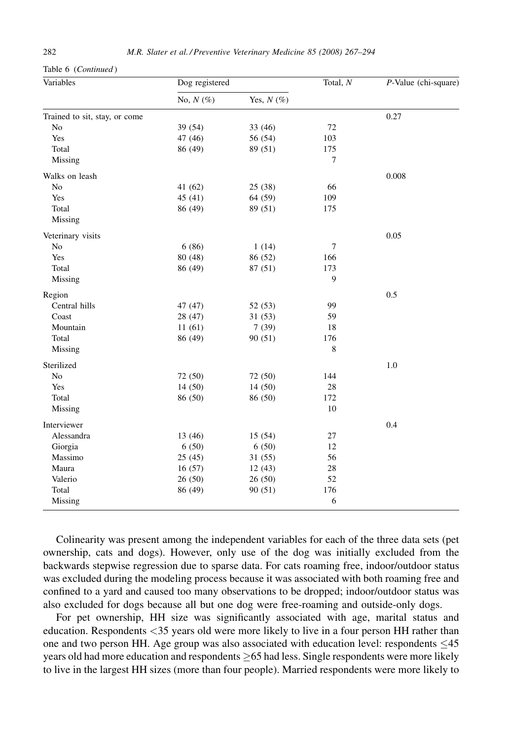Table 6 (Continued )

| Variables                     | Dog registered |                 | Total, N       | P-Value (chi-square) |
|-------------------------------|----------------|-----------------|----------------|----------------------|
|                               | No, $N(\%)$    | Yes, $N$ $(\%)$ |                |                      |
| Trained to sit, stay, or come |                |                 |                | 0.27                 |
| No                            | 39 (54)        | 33(46)          | 72             |                      |
| Yes                           | 47 (46)        | 56 (54)         | 103            |                      |
| Total                         | 86 (49)        | 89 (51)         | 175            |                      |
| Missing                       |                |                 | $\overline{7}$ |                      |
| Walks on leash                |                |                 |                | 0.008                |
| No                            | 41(62)         | 25(38)          | 66             |                      |
| Yes                           | 45 (41)        | 64 (59)         | 109            |                      |
| Total                         | 86 (49)        | 89 (51)         | 175            |                      |
| Missing                       |                |                 |                |                      |
| Veterinary visits             |                |                 |                | 0.05                 |
| No                            | 6(86)          | 1(14)           | $\overline{7}$ |                      |
| Yes                           | 80 (48)        | 86 (52)         | 166            |                      |
| Total                         | 86 (49)        | 87 (51)         | 173            |                      |
| Missing                       |                |                 | 9              |                      |
| Region                        |                |                 |                | 0.5                  |
| Central hills                 | 47 (47)        | 52 (53)         | 99             |                      |
| Coast                         | 28 (47)        | 31(53)          | 59             |                      |
| Mountain                      | 11(61)         | 7(39)           | 18             |                      |
| Total                         | 86 (49)        | 90(51)          | 176            |                      |
| Missing                       |                |                 | 8              |                      |
| Sterilized                    |                |                 |                | 1.0                  |
| No                            | 72 (50)        | 72 (50)         | 144            |                      |
| Yes                           | 14 (50)        | 14 (50)         | 28             |                      |
| Total                         | 86 (50)        | 86 (50)         | 172            |                      |
| Missing                       |                |                 | 10             |                      |
| Interviewer                   |                |                 |                | 0.4                  |
| Alessandra                    | 13 (46)        | 15 (54)         | 27             |                      |
| Giorgia                       | 6(50)          | 6(50)           | 12             |                      |
| Massimo                       | 25(45)         | 31(55)          | 56             |                      |
| Maura                         | 16(57)         | 12(43)          | 28             |                      |
| Valerio                       | 26(50)         | 26(50)          | 52             |                      |
| Total                         | 86 (49)        | 90(51)          | 176            |                      |
| Missing                       |                |                 | 6              |                      |

Colinearity was present among the independent variables for each of the three data sets (pet ownership, cats and dogs). However, only use of the dog was initially excluded from the backwards stepwise regression due to sparse data. For cats roaming free, indoor/outdoor status was excluded during the modeling process because it was associated with both roaming free and confined to a yard and caused too many observations to be dropped; indoor/outdoor status was also excluded for dogs because all but one dog were free-roaming and outside-only dogs.

For pet ownership, HH size was significantly associated with age, marital status and education. Respondents <35 years old were more likely to live in a four person HH rather than one and two person HH. Age group was also associated with education level: respondents  $\leq 45$ years old had more education and respondents  $\geq$ 65 had less. Single respondents were more likely to live in the largest HH sizes (more than four people). Married respondents were more likely to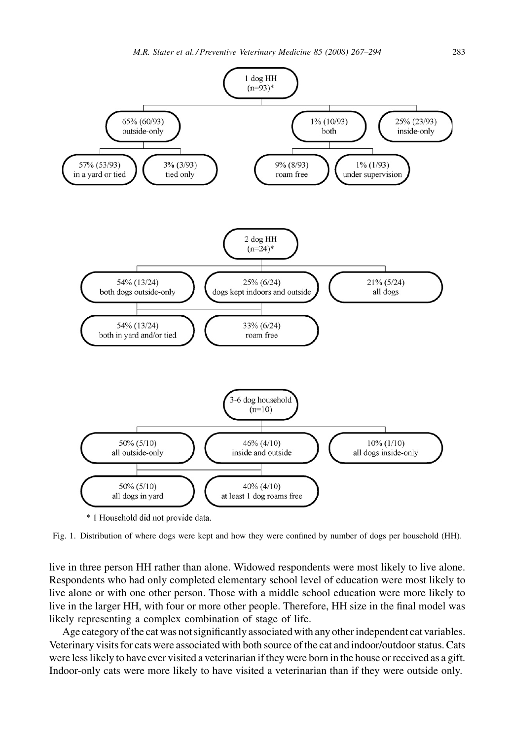<span id="page-16-0"></span>

Fig. 1. Distribution of where dogs were kept and how they were confined by number of dogs per household (HH).

live in three person HH rather than alone. Widowed respondents were most likely to live alone. Respondents who had only completed elementary school level of education were most likely to live alone or with one other person. Those with a middle school education were more likely to live in the larger HH, with four or more other people. Therefore, HH size in the final model was likely representing a complex combination of stage of life.

Age category of the cat was not significantly associated with any other independent cat variables. Veterinary visits for cats were associated with both source of the cat and indoor/outdoor status. Cats were less likely to have ever visited a veterinarian if they were born in the house or received as a gift. Indoor-only cats were more likely to have visited a veterinarian than if they were outside only.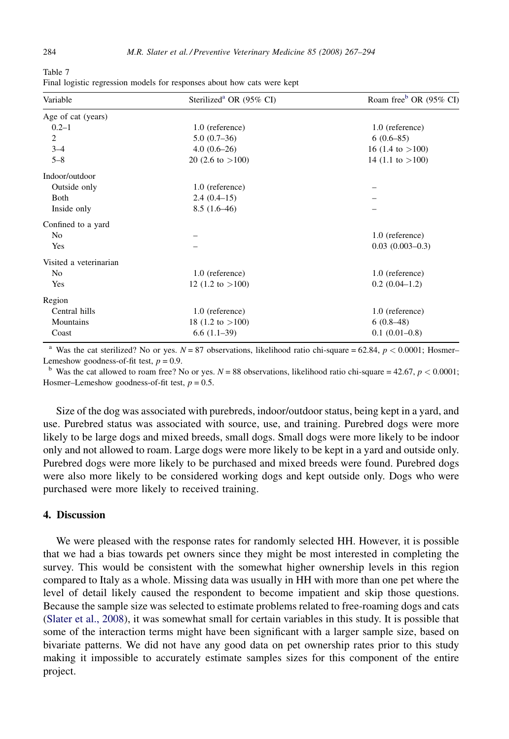<span id="page-17-0"></span>Table 7 Final logistic regression models for responses about how cats were kept

| Variable               | Sterilized <sup>a</sup> OR (95% CI) | Roam free <sup>b</sup> OR $(95\% \text{ CI})$ |
|------------------------|-------------------------------------|-----------------------------------------------|
| Age of cat (years)     |                                     |                                               |
| $0.2 - 1$              | 1.0 (reference)                     | 1.0 (reference)                               |
| 2                      | $5.0(0.7-36)$                       | $6(0.6-85)$                                   |
| $3 - 4$                | $4.0(0.6-26)$                       | 16 (1.4 to $>100$ )                           |
| $5 - 8$                | 20 (2.6 to $>100$ )                 | 14 (1.1 to $>100$ )                           |
| Indoor/outdoor         |                                     |                                               |
| Outside only           | 1.0 (reference)                     |                                               |
| Both                   | $2.4(0.4-15)$                       |                                               |
| Inside only            | $8.5(1.6-46)$                       |                                               |
| Confined to a yard     |                                     |                                               |
| N <sub>0</sub>         |                                     | 1.0 (reference)                               |
| Yes                    |                                     | $0.03(0.003-0.3)$                             |
| Visited a veterinarian |                                     |                                               |
| No                     | 1.0 (reference)                     | 1.0 (reference)                               |
| Yes                    | 12 (1.2 to $>100$ )                 | $0.2(0.04-1.2)$                               |
| Region                 |                                     |                                               |
| Central hills          | 1.0 (reference)                     | 1.0 (reference)                               |
| Mountains              | 18 $(1.2 \text{ to } >100)$         | $6(0.8-48)$                                   |
| Coast                  | $6.6(1.1-39)$                       | $0.1(0.01-0.8)$                               |

<sup>a</sup> Was the cat sterilized? No or yes.  $N = 87$  observations, likelihood ratio chi-square = 62.84, p < 0.0001; Hosmer– Lemeshow goodness-of-fit test,  $p = 0.9$ .<br><sup>b</sup> Was the cat allowed to roam free? No or yes.  $N = 88$  observations, likelihood ratio chi-square = 42.67,  $p < 0.0001$ ;

Hosmer–Lemeshow goodness-of-fit test,  $p = 0.5$ .

Size of the dog was associated with purebreds, indoor/outdoor status, being kept in a yard, and use. Purebred status was associated with source, use, and training. Purebred dogs were more likely to be large dogs and mixed breeds, small dogs. Small dogs were more likely to be indoor only and not allowed to roam. Large dogs were more likely to be kept in a yard and outside only. Purebred dogs were more likely to be purchased and mixed breeds were found. Purebred dogs were also more likely to be considered working dogs and kept outside only. Dogs who were purchased were more likely to received training.

#### 4. Discussion

We were pleased with the response rates for randomly selected HH. However, it is possible that we had a bias towards pet owners since they might be most interested in completing the survey. This would be consistent with the somewhat higher ownership levels in this region compared to Italy as a whole. Missing data was usually in HH with more than one pet where the level of detail likely caused the respondent to become impatient and skip those questions. Because the sample size was selected to estimate problems related to free-roaming dogs and cats [\(Slater et al., 2008](#page-27-0)), it was somewhat small for certain variables in this study. It is possible that some of the interaction terms might have been significant with a larger sample size, based on bivariate patterns. We did not have any good data on pet ownership rates prior to this study making it impossible to accurately estimate samples sizes for this component of the entire project.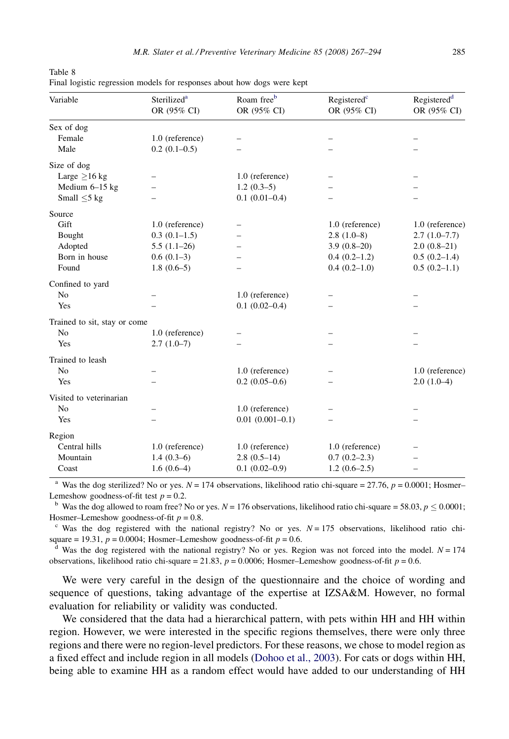| Variable                     | Sterilized <sup>a</sup><br>OR (95% CI) | Roam freeb<br>OR (95% CI) | Registered <sup>c</sup><br>OR (95% CI) | Registered <sup>d</sup><br>OR (95% CI) |
|------------------------------|----------------------------------------|---------------------------|----------------------------------------|----------------------------------------|
| Sex of dog                   |                                        |                           |                                        |                                        |
| Female                       | 1.0 (reference)                        |                           |                                        |                                        |
| Male                         | $0.2(0.1-0.5)$                         |                           |                                        |                                        |
| Size of dog                  |                                        |                           |                                        |                                        |
| Large $\geq$ 16 kg           |                                        | 1.0 (reference)           |                                        |                                        |
| Medium 6-15 kg               |                                        | $1.2(0.3-5)$              |                                        |                                        |
| Small $\leq$ 5 kg            |                                        | $0.1(0.01-0.4)$           |                                        |                                        |
| Source                       |                                        |                           |                                        |                                        |
| Gift                         | 1.0 (reference)                        |                           | 1.0 (reference)                        | 1.0 (reference)                        |
| Bought                       | $0.3(0.1-1.5)$                         |                           | $2.8(1.0-8)$                           | $2.7(1.0-7.7)$                         |
| Adopted                      | $5.5(1.1-26)$                          |                           | $3.9(0.8-20)$                          | $2.0(0.8-21)$                          |
| Born in house                | $0.6(0.1-3)$                           |                           | $0.4(0.2-1.2)$                         | $0.5(0.2-1.4)$                         |
| Found                        | $1.8(0.6-5)$                           |                           | $0.4(0.2-1.0)$                         | $0.5(0.2-1.1)$                         |
| Confined to yard             |                                        |                           |                                        |                                        |
| N <sub>o</sub>               |                                        | 1.0 (reference)           |                                        |                                        |
| Yes                          |                                        | $0.1(0.02-0.4)$           |                                        |                                        |
| Trained to sit, stay or come |                                        |                           |                                        |                                        |
| No                           | 1.0 (reference)                        |                           |                                        |                                        |
| Yes                          | $2.7(1.0-7)$                           |                           |                                        |                                        |
| Trained to leash             |                                        |                           |                                        |                                        |
| N <sub>0</sub>               |                                        | 1.0 (reference)           |                                        | 1.0 (reference)                        |
| Yes                          |                                        | $0.2(0.05-0.6)$           |                                        | $2.0(1.0-4)$                           |
| Visited to veterinarian      |                                        |                           |                                        |                                        |
| N <sub>0</sub>               |                                        | 1.0 (reference)           |                                        |                                        |
| Yes                          |                                        | $0.01(0.001 - 0.1)$       |                                        |                                        |
| Region                       |                                        |                           |                                        |                                        |
| Central hills                | 1.0 (reference)                        | 1.0 (reference)           | 1.0 (reference)                        |                                        |
| Mountain                     | $1.4(0.3-6)$                           | $2.8(0.5-14)$             | $0.7(0.2-2.3)$                         |                                        |
| Coast                        | $1.6(0.6-4)$                           | $0.1(0.02 - 0.9)$         | $1.2(0.6-2.5)$                         |                                        |
|                              |                                        |                           |                                        |                                        |

Table 8 Final logistic regression models for responses about how dogs were kept

<sup>a</sup> Was the dog sterilized? No or yes.  $N = 174$  observations, likelihood ratio chi-square = 27.76,  $p = 0.0001$ ; Hosmer– Lemeshow goodness-of-fit test  $p = 0.2$ .<br><sup>b</sup> Was the dog allowed to roam free? No or yes.  $N = 176$  observations, likelihood ratio chi-square = 58.03,  $p \le 0.0001$ ;

Hosmer–Lemeshow goodness-of-fit  $p = 0.8$ .

<sup>c</sup> Was the dog registered with the national registry? No or yes.  $N = 175$  observations, likelihood ratio chi-<br>square = 19.31,  $p = 0.0004$ ; Hosmer-Lemeshow goodness-of-fit  $p = 0.6$ .

<sup>d</sup> Was the dog registered with the national registry? No or yes. Region was not forced into the model.  $N = 174$ observations, likelihood ratio chi-square = 21.83,  $p = 0.0006$ ; Hosmer–Lemeshow goodness-of-fit  $p = 0.6$ .

We were very careful in the design of the questionnaire and the choice of wording and sequence of questions, taking advantage of the expertise at IZSA&M. However, no formal evaluation for reliability or validity was conducted.

We considered that the data had a hierarchical pattern, with pets within HH and HH within region. However, we were interested in the specific regions themselves, there were only three regions and there were no region-level predictors. For these reasons, we chose to model region as a fixed effect and include region in all models [\(Dohoo et al., 2003](#page-27-0)). For cats or dogs within HH, being able to examine HH as a random effect would have added to our understanding of HH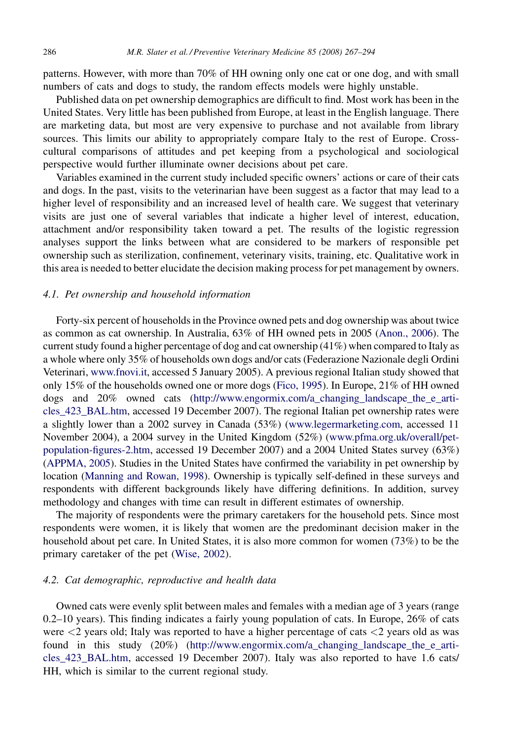patterns. However, with more than 70% of HH owning only one cat or one dog, and with small numbers of cats and dogs to study, the random effects models were highly unstable.

Published data on pet ownership demographics are difficult to find. Most work has been in the United States. Very little has been published from Europe, at least in the English language. There are marketing data, but most are very expensive to purchase and not available from library sources. This limits our ability to appropriately compare Italy to the rest of Europe. Crosscultural comparisons of attitudes and pet keeping from a psychological and sociological perspective would further illuminate owner decisions about pet care.

Variables examined in the current study included specific owners' actions or care of their cats and dogs. In the past, visits to the veterinarian have been suggest as a factor that may lead to a higher level of responsibility and an increased level of health care. We suggest that veterinary visits are just one of several variables that indicate a higher level of interest, education, attachment and/or responsibility taken toward a pet. The results of the logistic regression analyses support the links between what are considered to be markers of responsible pet ownership such as sterilization, confinement, veterinary visits, training, etc. Qualitative work in this area is needed to better elucidate the decision making process for pet management by owners.

## 4.1. Pet ownership and household information

Forty-six percent of households in the Province owned pets and dog ownership was about twice as common as cat ownership. In Australia, 63% of HH owned pets in 2005 [\(Anon., 2006\)](#page-27-0). The current study found a higher percentage of dog and cat ownership (41%) when compared to Italy as a whole where only 35% of households own dogs and/or cats (Federazione Nazionale degli Ordini Veterinari, [www.fnovi.it](http://www.fnovi.it/), accessed 5 January 2005). A previous regional Italian study showed that only 15% of the households owned one or more dogs [\(Fico, 1995](#page-27-0)). In Europe, 21% of HH owned dogs and 20% owned cats [\(http://www.engormix.com/a\\_changing\\_landscape\\_the\\_e\\_arti](http://www.engormix.com/a_changing_landscape_the_e_articles_423_BAL.htm)[cles\\_423\\_BAL.htm](http://www.engormix.com/a_changing_landscape_the_e_articles_423_BAL.htm), accessed 19 December 2007). The regional Italian pet ownership rates were a slightly lower than a 2002 survey in Canada (53%) [\(www.legermarketing.com,](http://www.legermarketing.com/) accessed 11 November 2004), a 2004 survey in the United Kingdom (52%) ([www.pfma.org.uk/overall/pet](http://www.pfma.org.uk/overall/pet-population-figures-2.htm)[population-figures-2.htm](http://www.pfma.org.uk/overall/pet-population-figures-2.htm), accessed 19 December 2007) and a 2004 United States survey (63%) [\(APPMA, 2005\)](#page-27-0). Studies in the United States have confirmed the variability in pet ownership by location [\(Manning and Rowan, 1998\)](#page-27-0). Ownership is typically self-defined in these surveys and respondents with different backgrounds likely have differing definitions. In addition, survey methodology and changes with time can result in different estimates of ownership.

The majority of respondents were the primary caretakers for the household pets. Since most respondents were women, it is likely that women are the predominant decision maker in the household about pet care. In United States, it is also more common for women (73%) to be the primary caretaker of the pet ([Wise, 2002](#page-27-0)).

#### 4.2. Cat demographic, reproductive and health data

Owned cats were evenly split between males and females with a median age of 3 years (range 0.2–10 years). This finding indicates a fairly young population of cats. In Europe, 26% of cats were <2 years old; Italy was reported to have a higher percentage of cats <2 years old as was found in this study (20%) ([http://www.engormix.com/a\\_changing\\_landscape\\_the\\_e\\_arti](http://www.engormix.com/a_changing_landscape_the_e_articles_423_BAL.htm)[cles\\_423\\_BAL.htm,](http://www.engormix.com/a_changing_landscape_the_e_articles_423_BAL.htm) accessed 19 December 2007). Italy was also reported to have 1.6 cats/ HH, which is similar to the current regional study.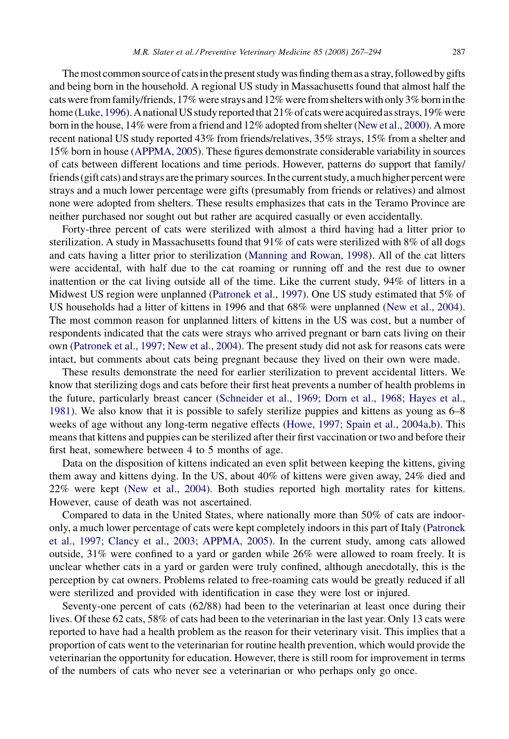The most common source of cats in the present study was finding them as a stray, followed by gifts and being born in the household. A regional US study in Massachusetts found that almost half the cats were from family/friends, 17% were strays and 12% were from shelters with only 3% borninthe home [\(Luke, 1996\)](#page-27-0). A national US study reported that  $21\%$  of cats were acquired as strays, 19% were born in the house, 14% were from a friend and 12% adopted from shelter [\(New et al., 2000](#page-27-0)). A more recent national US study reported 43% from friends/relatives, 35% strays, 15% from a shelter and 15% born in house ([APPMA, 2005\)](#page-27-0). These figures demonstrate considerable variability in sources of cats between different locations and time periods. However, patterns do support that family/ friends (gift cats) and strays arethe primary sources. Inthe current study, a much higher percent were strays and a much lower percentage were gifts (presumably from friends or relatives) and almost none were adopted from shelters. These results emphasizes that cats in the Teramo Province are neither purchased nor sought out but rather are acquired casually or even accidentally.

Forty-three percent of cats were sterilized with almost a third having had a litter prior to sterilization. A study in Massachusetts found that 91% of cats were sterilized with 8% of all dogs and cats having a litter prior to sterilization ([Manning and Rowan, 1998\)](#page-27-0). All of the cat litters were accidental, with half due to the cat roaming or running off and the rest due to owner inattention or the cat living outside all of the time. Like the current study, 94% of litters in a Midwest US region were unplanned ([Patronek et al., 1997](#page-27-0)). One US study estimated that 5% of US households had a litter of kittens in 1996 and that 68% were unplanned ([New et al., 2004](#page-27-0)). The most common reason for unplanned litters of kittens in the US was cost, but a number of respondents indicated that the cats were strays who arrived pregnant or barn cats living on their own ([Patronek et al., 1997; New et al., 2004\)](#page-27-0). The present study did not ask for reasons cats were intact, but comments about cats being pregnant because they lived on their own were made.

These results demonstrate the need for earlier sterilization to prevent accidental litters. We know that sterilizing dogs and cats before their first heat prevents a number of health problems in the future, particularly breast cancer ([Schneider et al., 1969; Dorn et al., 1968; Hayes et al.,](#page-27-0) [1981](#page-27-0)). We also know that it is possible to safely sterilize puppies and kittens as young as 6–8 weeks of age without any long-term negative effects ([Howe, 1997; Spain et al., 2004a,b](#page-27-0)). This means that kittens and puppies can be sterilized after their first vaccination or two and before their first heat, somewhere between 4 to 5 months of age.

Data on the disposition of kittens indicated an even split between keeping the kittens, giving them away and kittens dying. In the US, about 40% of kittens were given away, 24% died and 22% were kept ([New et al., 2004\)](#page-27-0). Both studies reported high mortality rates for kittens. However, cause of death was not ascertained.

Compared to data in the United States, where nationally more than 50% of cats are indooronly, a much lower percentage of cats were kept completely indoors in this part of Italy [\(Patronek](#page-27-0) [et al., 1997; Clancy et al., 2003; APPMA, 2005](#page-27-0)). In the current study, among cats allowed outside, 31% were confined to a yard or garden while 26% were allowed to roam freely. It is unclear whether cats in a yard or garden were truly confined, although anecdotally, this is the perception by cat owners. Problems related to free-roaming cats would be greatly reduced if all were sterilized and provided with identification in case they were lost or injured.

Seventy-one percent of cats (62/88) had been to the veterinarian at least once during their lives. Of these 62 cats, 58% of cats had been to the veterinarian in the last year. Only 13 cats were reported to have had a health problem as the reason for their veterinary visit. This implies that a proportion of cats went to the veterinarian for routine health prevention, which would provide the veterinarian the opportunity for education. However, there is still room for improvement in terms of the numbers of cats who never see a veterinarian or who perhaps only go once.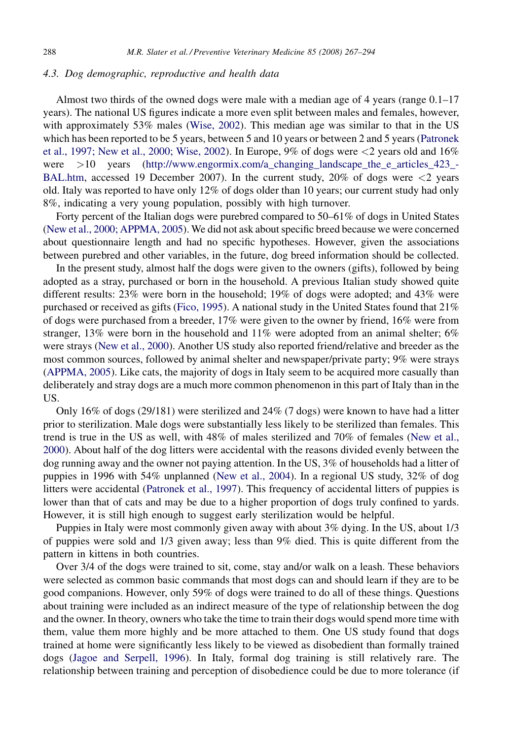#### 4.3. Dog demographic, reproductive and health data

Almost two thirds of the owned dogs were male with a median age of 4 years (range 0.1–17 years). The national US figures indicate a more even split between males and females, however, with approximately 53% males ([Wise, 2002\)](#page-27-0). This median age was similar to that in the US which has been reported to be 5 years, between 5 and 10 years or between 2 and 5 years ([Patronek](#page-27-0) [et al., 1997; New et al., 2000; Wise, 2002](#page-27-0)). In Europe, 9% of dogs were  $\lt 2$  years old and 16% were  $>10$  years [\(http://www.engormix.com/a\\_changing\\_landscape\\_the\\_e\\_articles\\_423\\_-](http://www.engormix.com/a_changing_landscape_the_e_articles_423_BAL.htm) [BAL.htm](http://www.engormix.com/a_changing_landscape_the_e_articles_423_BAL.htm), accessed 19 December 2007). In the current study, 20% of dogs were  $\lt 2$  years old. Italy was reported to have only 12% of dogs older than 10 years; our current study had only 8%, indicating a very young population, possibly with high turnover.

Forty percent of the Italian dogs were purebred compared to 50–61% of dogs in United States [\(New et al., 2000; APPMA, 2005](#page-27-0)). We did not ask about specific breed because we were concerned about questionnaire length and had no specific hypotheses. However, given the associations between purebred and other variables, in the future, dog breed information should be collected.

In the present study, almost half the dogs were given to the owners (gifts), followed by being adopted as a stray, purchased or born in the household. A previous Italian study showed quite different results: 23% were born in the household; 19% of dogs were adopted; and 43% were purchased or received as gifts ([Fico, 1995](#page-27-0)). A national study in the United States found that 21% of dogs were purchased from a breeder, 17% were given to the owner by friend, 16% were from stranger, 13% were born in the household and 11% were adopted from an animal shelter; 6% were strays [\(New et al., 2000](#page-27-0)). Another US study also reported friend/relative and breeder as the most common sources, followed by animal shelter and newspaper/private party; 9% were strays [\(APPMA, 2005](#page-27-0)). Like cats, the majority of dogs in Italy seem to be acquired more casually than deliberately and stray dogs are a much more common phenomenon in this part of Italy than in the US.

Only 16% of dogs (29/181) were sterilized and 24% (7 dogs) were known to have had a litter prior to sterilization. Male dogs were substantially less likely to be sterilized than females. This trend is true in the US as well, with 48% of males sterilized and 70% of females ([New et al.,](#page-27-0) [2000\)](#page-27-0). About half of the dog litters were accidental with the reasons divided evenly between the dog running away and the owner not paying attention. In the US, 3% of households had a litter of puppies in 1996 with 54% unplanned [\(New et al., 2004](#page-27-0)). In a regional US study, 32% of dog litters were accidental ([Patronek et al., 1997](#page-27-0)). This frequency of accidental litters of puppies is lower than that of cats and may be due to a higher proportion of dogs truly confined to yards. However, it is still high enough to suggest early sterilization would be helpful.

Puppies in Italy were most commonly given away with about 3% dying. In the US, about 1/3 of puppies were sold and 1/3 given away; less than 9% died. This is quite different from the pattern in kittens in both countries.

Over 3/4 of the dogs were trained to sit, come, stay and/or walk on a leash. These behaviors were selected as common basic commands that most dogs can and should learn if they are to be good companions. However, only 59% of dogs were trained to do all of these things. Questions about training were included as an indirect measure of the type of relationship between the dog and the owner. In theory, owners who take the time to train their dogs would spend more time with them, value them more highly and be more attached to them. One US study found that dogs trained at home were significantly less likely to be viewed as disobedient than formally trained dogs ([Jagoe and Serpell, 1996](#page-27-0)). In Italy, formal dog training is still relatively rare. The relationship between training and perception of disobedience could be due to more tolerance (if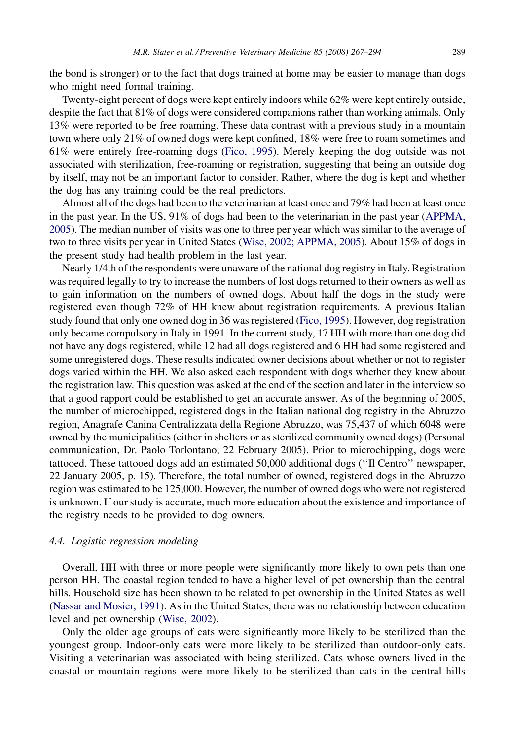the bond is stronger) or to the fact that dogs trained at home may be easier to manage than dogs who might need formal training.

Twenty-eight percent of dogs were kept entirely indoors while 62% were kept entirely outside, despite the fact that 81% of dogs were considered companions rather than working animals. Only 13% were reported to be free roaming. These data contrast with a previous study in a mountain town where only 21% of owned dogs were kept confined, 18% were free to roam sometimes and 61% were entirely free-roaming dogs ([Fico, 1995\)](#page-27-0). Merely keeping the dog outside was not associated with sterilization, free-roaming or registration, suggesting that being an outside dog by itself, may not be an important factor to consider. Rather, where the dog is kept and whether the dog has any training could be the real predictors.

Almost all of the dogs had been to the veterinarian at least once and 79% had been at least once in the past year. In the US, 91% of dogs had been to the veterinarian in the past year [\(APPMA,](#page-27-0) [2005](#page-27-0)). The median number of visits was one to three per year which was similar to the average of two to three visits per year in United States ([Wise, 2002; APPMA, 2005](#page-27-0)). About 15% of dogs in the present study had health problem in the last year.

Nearly 1/4th of the respondents were unaware of the national dog registry in Italy. Registration was required legally to try to increase the numbers of lost dogs returned to their owners as well as to gain information on the numbers of owned dogs. About half the dogs in the study were registered even though 72% of HH knew about registration requirements. A previous Italian study found that only one owned dog in 36 was registered ([Fico, 1995\)](#page-27-0). However, dog registration only became compulsory in Italy in 1991. In the current study, 17 HH with more than one dog did not have any dogs registered, while 12 had all dogs registered and 6 HH had some registered and some unregistered dogs. These results indicated owner decisions about whether or not to register dogs varied within the HH. We also asked each respondent with dogs whether they knew about the registration law. This question was asked at the end of the section and later in the interview so that a good rapport could be established to get an accurate answer. As of the beginning of 2005, the number of microchipped, registered dogs in the Italian national dog registry in the Abruzzo region, Anagrafe Canina Centralizzata della Regione Abruzzo, was 75,437 of which 6048 were owned by the municipalities (either in shelters or as sterilized community owned dogs) (Personal communication, Dr. Paolo Torlontano, 22 February 2005). Prior to microchipping, dogs were tattooed. These tattooed dogs add an estimated 50,000 additional dogs (''Il Centro'' newspaper, 22 January 2005, p. 15). Therefore, the total number of owned, registered dogs in the Abruzzo region was estimated to be 125,000. However, the number of owned dogs who were not registered is unknown. If our study is accurate, much more education about the existence and importance of the registry needs to be provided to dog owners.

#### 4.4. Logistic regression modeling

Overall, HH with three or more people were significantly more likely to own pets than one person HH. The coastal region tended to have a higher level of pet ownership than the central hills. Household size has been shown to be related to pet ownership in the United States as well ([Nassar and Mosier, 1991](#page-27-0)). As in the United States, there was no relationship between education level and pet ownership [\(Wise, 2002](#page-27-0)).

Only the older age groups of cats were significantly more likely to be sterilized than the youngest group. Indoor-only cats were more likely to be sterilized than outdoor-only cats. Visiting a veterinarian was associated with being sterilized. Cats whose owners lived in the coastal or mountain regions were more likely to be sterilized than cats in the central hills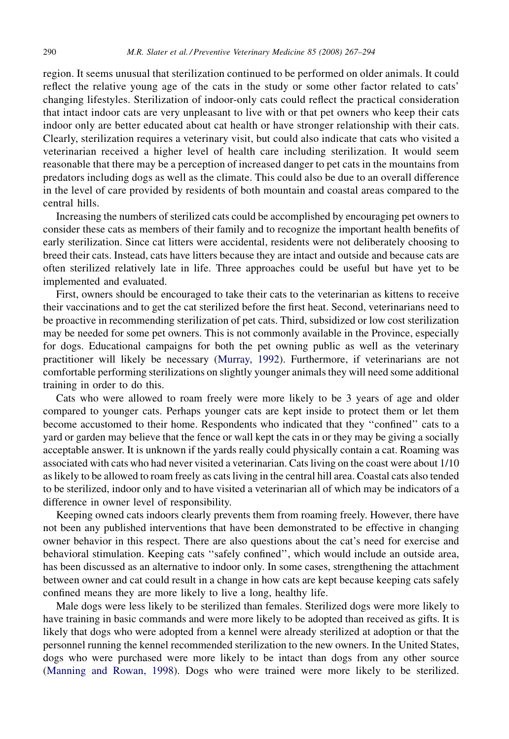region. It seems unusual that sterilization continued to be performed on older animals. It could reflect the relative young age of the cats in the study or some other factor related to cats' changing lifestyles. Sterilization of indoor-only cats could reflect the practical consideration that intact indoor cats are very unpleasant to live with or that pet owners who keep their cats indoor only are better educated about cat health or have stronger relationship with their cats. Clearly, sterilization requires a veterinary visit, but could also indicate that cats who visited a veterinarian received a higher level of health care including sterilization. It would seem reasonable that there may be a perception of increased danger to pet cats in the mountains from predators including dogs as well as the climate. This could also be due to an overall difference in the level of care provided by residents of both mountain and coastal areas compared to the central hills.

Increasing the numbers of sterilized cats could be accomplished by encouraging pet owners to consider these cats as members of their family and to recognize the important health benefits of early sterilization. Since cat litters were accidental, residents were not deliberately choosing to breed their cats. Instead, cats have litters because they are intact and outside and because cats are often sterilized relatively late in life. Three approaches could be useful but have yet to be implemented and evaluated.

First, owners should be encouraged to take their cats to the veterinarian as kittens to receive their vaccinations and to get the cat sterilized before the first heat. Second, veterinarians need to be proactive in recommending sterilization of pet cats. Third, subsidized or low cost sterilization may be needed for some pet owners. This is not commonly available in the Province, especially for dogs. Educational campaigns for both the pet owning public as well as the veterinary practitioner will likely be necessary [\(Murray, 1992\)](#page-27-0). Furthermore, if veterinarians are not comfortable performing sterilizations on slightly younger animals they will need some additional training in order to do this.

Cats who were allowed to roam freely were more likely to be 3 years of age and older compared to younger cats. Perhaps younger cats are kept inside to protect them or let them become accustomed to their home. Respondents who indicated that they ''confined'' cats to a yard or garden may believe that the fence or wall kept the cats in or they may be giving a socially acceptable answer. It is unknown if the yards really could physically contain a cat. Roaming was associated with cats who had never visited a veterinarian. Cats living on the coast were about 1/10 as likely to be allowed to roam freely as cats living in the central hill area. Coastal cats also tended to be sterilized, indoor only and to have visited a veterinarian all of which may be indicators of a difference in owner level of responsibility.

Keeping owned cats indoors clearly prevents them from roaming freely. However, there have not been any published interventions that have been demonstrated to be effective in changing owner behavior in this respect. There are also questions about the cat's need for exercise and behavioral stimulation. Keeping cats ''safely confined'', which would include an outside area, has been discussed as an alternative to indoor only. In some cases, strengthening the attachment between owner and cat could result in a change in how cats are kept because keeping cats safely confined means they are more likely to live a long, healthy life.

Male dogs were less likely to be sterilized than females. Sterilized dogs were more likely to have training in basic commands and were more likely to be adopted than received as gifts. It is likely that dogs who were adopted from a kennel were already sterilized at adoption or that the personnel running the kennel recommended sterilization to the new owners. In the United States, dogs who were purchased were more likely to be intact than dogs from any other source [\(Manning and Rowan, 1998\)](#page-27-0). Dogs who were trained were more likely to be sterilized.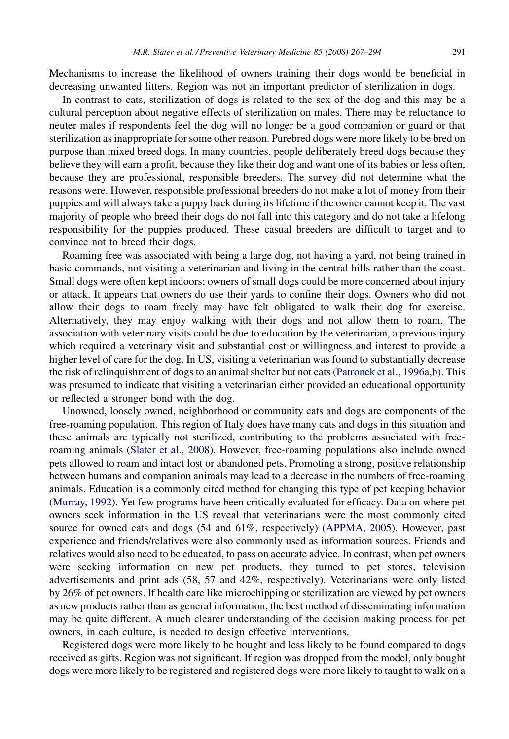Mechanisms to increase the likelihood of owners training their dogs would be beneficial in decreasing unwanted litters. Region was not an important predictor of sterilization in dogs.

In contrast to cats, sterilization of dogs is related to the sex of the dog and this may be a cultural perception about negative effects of sterilization on males. There may be reluctance to neuter males if respondents feel the dog will no longer be a good companion or guard or that sterilization as inappropriate for some other reason. Purebred dogs were more likely to be bred on purpose than mixed breed dogs. In many countries, people deliberately breed dogs because they believe they will earn a profit, because they like their dog and want one of its babies or less often, because they are professional, responsible breeders. The survey did not determine what the reasons were. However, responsible professional breeders do not make a lot of money from their puppies and will always take a puppy back during its lifetime if the owner cannot keep it. The vast majority of people who breed their dogs do not fall into this category and do not take a lifelong responsibility for the puppies produced. These casual breeders are difficult to target and to convince not to breed their dogs.

Roaming free was associated with being a large dog, not having a yard, not being trained in basic commands, not visiting a veterinarian and living in the central hills rather than the coast. Small dogs were often kept indoors; owners of small dogs could be more concerned about injury or attack. It appears that owners do use their yards to confine their dogs. Owners who did not allow their dogs to roam freely may have felt obligated to walk their dog for exercise. Alternatively, they may enjoy walking with their dogs and not allow them to roam. The association with veterinary visits could be due to education by the veterinarian, a previous injury which required a veterinary visit and substantial cost or willingness and interest to provide a higher level of care for the dog. In US, visiting a veterinarian was found to substantially decrease the risk of relinquishment of dogs to an animal shelter but not cats [\(Patronek et al., 1996a,b](#page-27-0)). This was presumed to indicate that visiting a veterinarian either provided an educational opportunity or reflected a stronger bond with the dog.

Unowned, loosely owned, neighborhood or community cats and dogs are components of the free-roaming population. This region of Italy does have many cats and dogs in this situation and these animals are typically not sterilized, contributing to the problems associated with freeroaming animals ([Slater et al., 2008\)](#page-27-0). However, free-roaming populations also include owned pets allowed to roam and intact lost or abandoned pets. Promoting a strong, positive relationship between humans and companion animals may lead to a decrease in the numbers of free-roaming animals. Education is a commonly cited method for changing this type of pet keeping behavior ([Murray, 1992\)](#page-27-0). Yet few programs have been critically evaluated for efficacy. Data on where pet owners seek information in the US reveal that veterinarians were the most commonly cited source for owned cats and dogs (54 and 61%, respectively) ([APPMA, 2005](#page-27-0)). However, past experience and friends/relatives were also commonly used as information sources. Friends and relatives would also need to be educated, to pass on accurate advice. In contrast, when pet owners were seeking information on new pet products, they turned to pet stores, television advertisements and print ads (58, 57 and 42%, respectively). Veterinarians were only listed by 26% of pet owners. If health care like microchipping or sterilization are viewed by pet owners as new products rather than as general information, the best method of disseminating information may be quite different. A much clearer understanding of the decision making process for pet owners, in each culture, is needed to design effective interventions.

Registered dogs were more likely to be bought and less likely to be found compared to dogs received as gifts. Region was not significant. If region was dropped from the model, only bought dogs were more likely to be registered and registered dogs were more likely to taught to walk on a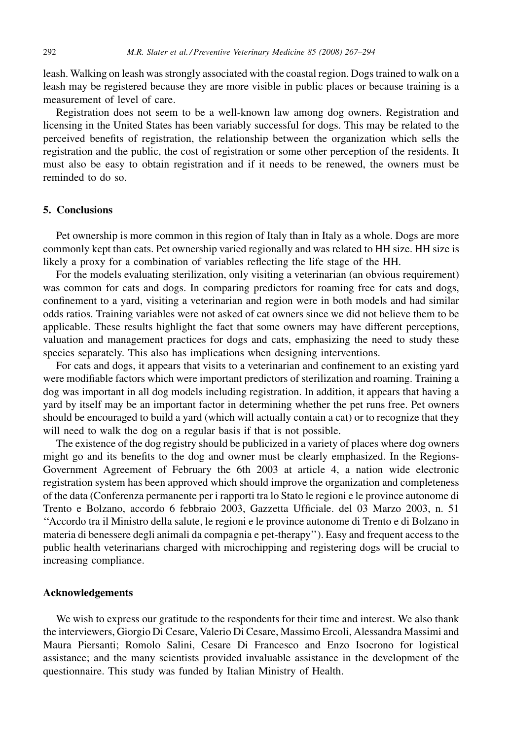leash. Walking on leash was strongly associated with the coastal region. Dogs trained to walk on a leash may be registered because they are more visible in public places or because training is a measurement of level of care.

Registration does not seem to be a well-known law among dog owners. Registration and licensing in the United States has been variably successful for dogs. This may be related to the perceived benefits of registration, the relationship between the organization which sells the registration and the public, the cost of registration or some other perception of the residents. It must also be easy to obtain registration and if it needs to be renewed, the owners must be reminded to do so.

## 5. Conclusions

Pet ownership is more common in this region of Italy than in Italy as a whole. Dogs are more commonly kept than cats. Pet ownership varied regionally and was related to HH size. HH size is likely a proxy for a combination of variables reflecting the life stage of the HH.

For the models evaluating sterilization, only visiting a veterinarian (an obvious requirement) was common for cats and dogs. In comparing predictors for roaming free for cats and dogs, confinement to a yard, visiting a veterinarian and region were in both models and had similar odds ratios. Training variables were not asked of cat owners since we did not believe them to be applicable. These results highlight the fact that some owners may have different perceptions, valuation and management practices for dogs and cats, emphasizing the need to study these species separately. This also has implications when designing interventions.

For cats and dogs, it appears that visits to a veterinarian and confinement to an existing yard were modifiable factors which were important predictors of sterilization and roaming. Training a dog was important in all dog models including registration. In addition, it appears that having a yard by itself may be an important factor in determining whether the pet runs free. Pet owners should be encouraged to build a yard (which will actually contain a cat) or to recognize that they will need to walk the dog on a regular basis if that is not possible.

The existence of the dog registry should be publicized in a variety of places where dog owners might go and its benefits to the dog and owner must be clearly emphasized. In the Regions-Government Agreement of February the 6th 2003 at article 4, a nation wide electronic registration system has been approved which should improve the organization and completeness of the data (Conferenza permanente per i rapporti tra lo Stato le regioni e le province autonome di Trento e Bolzano, accordo 6 febbraio 2003, Gazzetta Ufficiale. del 03 Marzo 2003, n. 51 ''Accordo tra il Ministro della salute, le regioni e le province autonome di Trento e di Bolzano in materia di benessere degli animali da compagnia e pet-therapy''). Easy and frequent access to the public health veterinarians charged with microchipping and registering dogs will be crucial to increasing compliance.

#### Acknowledgements

We wish to express our gratitude to the respondents for their time and interest. We also thank the interviewers, Giorgio Di Cesare, Valerio Di Cesare, Massimo Ercoli, Alessandra Massimi and Maura Piersanti; Romolo Salini, Cesare Di Francesco and Enzo Isocrono for logistical assistance; and the many scientists provided invaluable assistance in the development of the questionnaire. This study was funded by Italian Ministry of Health.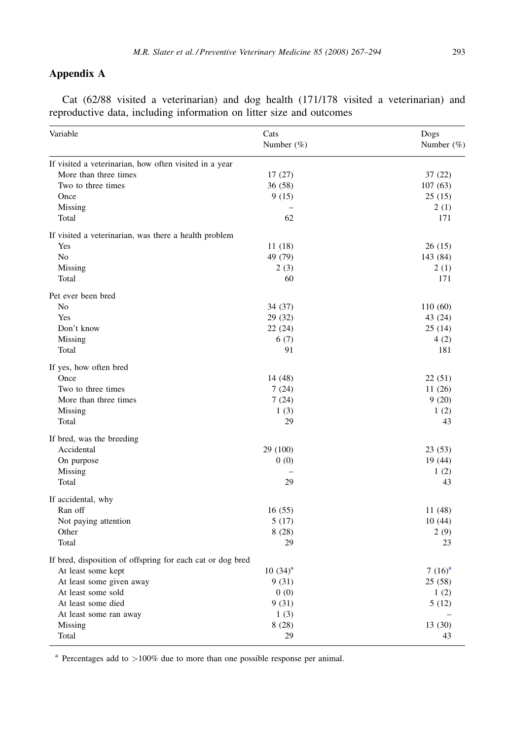## <span id="page-26-0"></span>Appendix A

Cat (62/88 visited a veterinarian) and dog health (171/178 visited a veterinarian) and reproductive data, including information on litter size and outcomes

| Variable                                                   | Cats          | Dogs       |
|------------------------------------------------------------|---------------|------------|
|                                                            | Number $(\%)$ | Number (%) |
| If visited a veterinarian, how often visited in a year     |               |            |
| More than three times                                      | 17(27)        | 37(22)     |
| Two to three times                                         | 36 (58)       | 107(63)    |
| Once                                                       | 9(15)         | 25(15)     |
| Missing                                                    |               | 2(1)       |
| Total                                                      | 62            | 171        |
| If visited a veterinarian, was there a health problem      |               |            |
| Yes                                                        | 11 (18)       | 26(15)     |
| No                                                         | 49 (79)       | 143 (84)   |
| Missing                                                    | 2(3)          | 2(1)       |
| Total                                                      | 60            | 171        |
| Pet ever been bred                                         |               |            |
| N <sub>0</sub>                                             | 34 (37)       | 110 (60)   |
| Yes                                                        | 29 (32)       | 43 (24)    |
| Don't know                                                 | 22 (24)       | 25(14)     |
| Missing                                                    | 6(7)          | 4(2)       |
| Total                                                      | 91            | 181        |
| If yes, how often bred                                     |               |            |
| Once                                                       | 14 (48)       | 22(51)     |
| Two to three times                                         | 7(24)         | 11 (26)    |
| More than three times                                      | 7(24)         | 9(20)      |
| Missing                                                    | 1(3)          | 1(2)       |
| Total                                                      | 29            | 43         |
| If bred, was the breeding                                  |               |            |
| Accidental                                                 | 29 (100)      | 23(53)     |
| On purpose                                                 | 0(0)          | 19 (44)    |
| Missing                                                    |               | 1(2)       |
| Total                                                      | 29            | 43         |
| If accidental, why                                         |               |            |
| Ran off                                                    | 16(55)        | 11 (48)    |
| Not paying attention                                       | 5(17)         | 10(44)     |
| Other                                                      | 8(28)         | 2(9)       |
| Total                                                      | 29            | 23         |
| If bred, disposition of offspring for each cat or dog bred |               |            |
| At least some kept                                         | $10(34)^a$    | $7(16)^a$  |
| At least some given away                                   | 9(31)         | 25(58)     |
| At least some sold                                         | 0(0)          | 1(2)       |
| At least some died                                         | 9(31)         | 5(12)      |
| At least some ran away                                     | 1(3)          |            |
| Missing                                                    | 8(28)         | 13 (30)    |
| Total                                                      | 29            | 43         |

 $a$  Percentages add to  $>100\%$  due to more than one possible response per animal.